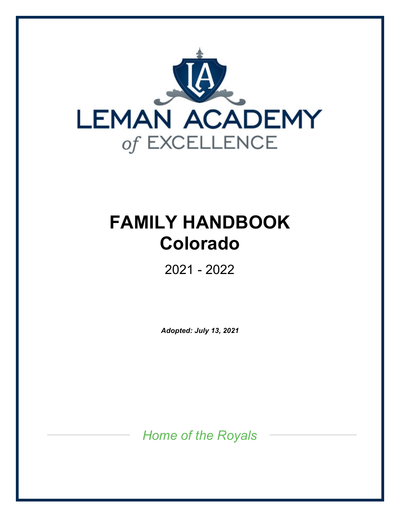

# **FAMILY HANDBOOK Colorado**

2021 - 2022

*Adopted: July 13, 2021*

*Home of the Royals*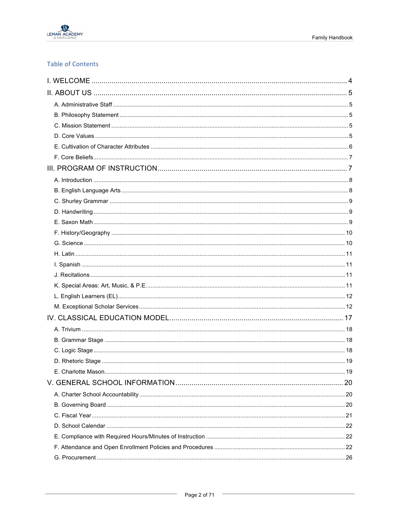

#### **Table of Contents**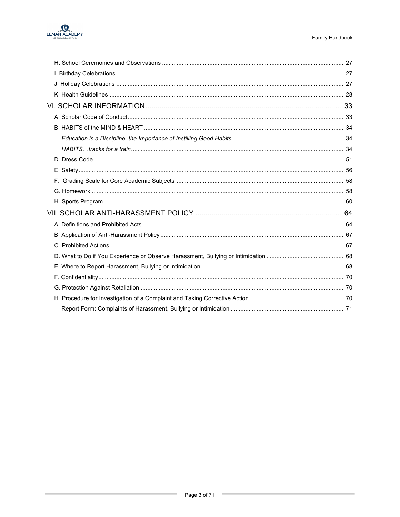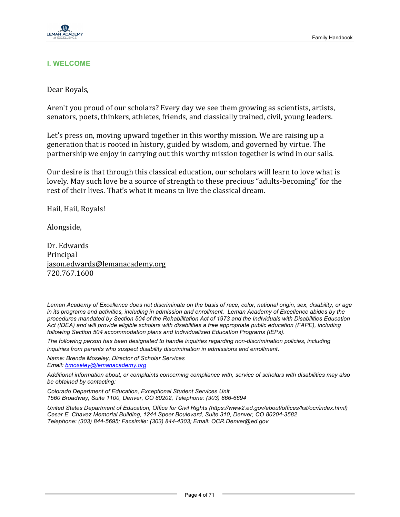#### **I. WELCOME**

Dear Royals,

Aren't you proud of our scholars? Every day we see them growing as scientists, artists, senators, poets, thinkers, athletes, friends, and classically trained, civil, young leaders.

Let's press on, moving upward together in this worthy mission. We are raising up a generation that is rooted in history, guided by wisdom, and governed by virtue. The partnership we enjoy in carrying out this worthy mission together is wind in our sails.

Our desire is that through this classical education, our scholars will learn to love what is lovely. May such love be a source of strength to these precious "adults-becoming" for the rest of their lives. That's what it means to live the classical dream.

Hail, Hail, Royals!

Alongside,

Dr. Edwards Principal jason.edwards@lemanacademy.org 720.767.1600

*Leman Academy of Excellence does not discriminate on the basis of race, color, national origin, sex, disability, or age in its programs and activities, including in admission and enrollment. Leman Academy of Excellence abides by the procedures mandated by Section 504 of the Rehabilitation Act of 1973 and the Individuals with Disabilities Education Act (IDEA) and will provide eligible scholars with disabilities a free appropriate public education (FAPE), including following Section 504 accommodation plans and Individualized Education Programs (IEPs).*

*The following person has been designated to handle inquiries regarding non-discrimination policies, including inquiries from parents who suspect disability discrimination in admissions and enrollment.*

*Name: Brenda Moseley, Director of Scholar Services Email: bmoseley@lemanacademy.org*

*Additional information about, or complaints concerning compliance with, service of scholars with disabilities may also be obtained by contacting:*

*Colorado Department of Education, Exceptional Student Services Unit 1560 Broadway, Suite 1100, Denver, CO 80202, Telephone: (303) 866-6694*

*United States Department of Education, Office for Civil Rights (https://www2.ed.gov/about/offices/list/ocr/index.html) Cesar E. Chavez Memorial Building, 1244 Speer Boulevard, Suite 310, Denver, CO 80204-3582 Telephone: (303) 844-5695; Facsimile: (303) 844-4303; Email: OCR.Denver@ed.gov*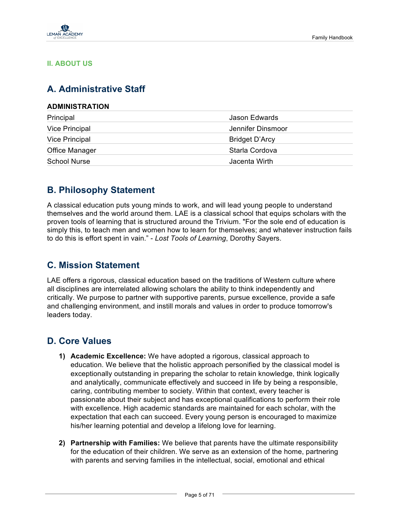#### **II. ABOUT US**

# **A. Administrative Staff**

#### **ADMINISTRATION**

| Principal           | Jason Edwards         |
|---------------------|-----------------------|
| Vice Principal      | Jennifer Dinsmoor     |
| Vice Principal      | <b>Bridget D'Arcy</b> |
| Office Manager      | Starla Cordova        |
| <b>School Nurse</b> | Jacenta Wirth         |

### **B. Philosophy Statement**

A classical education puts young minds to work, and will lead young people to understand themselves and the world around them. LAE is a classical school that equips scholars with the proven tools of learning that is structured around the Trivium. "For the sole end of education is simply this, to teach men and women how to learn for themselves; and whatever instruction fails to do this is effort spent in vain." - *Lost Tools of Learning*, Dorothy Sayers.

### **C. Mission Statement**

LAE offers a rigorous, classical education based on the traditions of Western culture where all disciplines are interrelated allowing scholars the ability to think independently and critically. We purpose to partner with supportive parents, pursue excellence, provide a safe and challenging environment, and instill morals and values in order to produce tomorrow's leaders today.

### **D. Core Values**

- **1) Academic Excellence:** We have adopted a rigorous, classical approach to education. We believe that the holistic approach personified by the classical model is exceptionally outstanding in preparing the scholar to retain knowledge, think logically and analytically, communicate effectively and succeed in life by being a responsible, caring, contributing member to society. Within that context, every teacher is passionate about their subject and has exceptional qualifications to perform their role with excellence. High academic standards are maintained for each scholar, with the expectation that each can succeed. Every young person is encouraged to maximize his/her learning potential and develop a lifelong love for learning.
- **2) Partnership with Families:** We believe that parents have the ultimate responsibility for the education of their children. We serve as an extension of the home, partnering with parents and serving families in the intellectual, social, emotional and ethical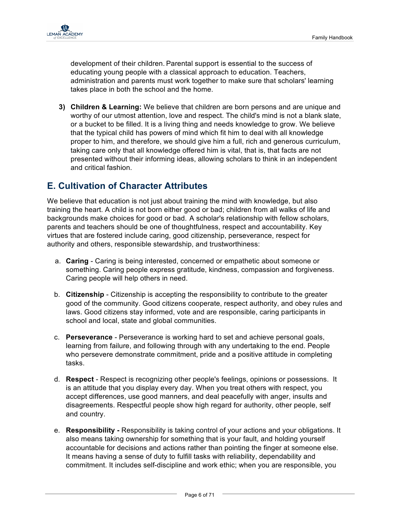

development of their children. Parental support is essential to the success of educating young people with a classical approach to education. Teachers, administration and parents must work together to make sure that scholars' learning takes place in both the school and the home.

**3) Children & Learning:** We believe that children are born persons and are unique and worthy of our utmost attention, love and respect. The child's mind is not a blank slate, or a bucket to be filled. It is a living thing and needs knowledge to grow. We believe that the typical child has powers of mind which fit him to deal with all knowledge proper to him, and therefore, we should give him a full, rich and generous curriculum, taking care only that all knowledge offered him is vital, that is, that facts are not presented without their informing ideas, allowing scholars to think in an independent and critical fashion.

### **E. Cultivation of Character Attributes**

We believe that education is not just about training the mind with knowledge, but also training the heart. A child is not born either good or bad; children from all walks of life and backgrounds make choices for good or bad. A scholar's relationship with fellow scholars, parents and teachers should be one of thoughtfulness, respect and accountability. Key virtues that are fostered include caring, good citizenship, perseverance, respect for authority and others, responsible stewardship, and trustworthiness:

- a. **Caring**  Caring is being interested, concerned or empathetic about someone or something. Caring people express gratitude, kindness, compassion and forgiveness. Caring people will help others in need.
- b. **Citizenship**  Citizenship is accepting the responsibility to contribute to the greater good of the community. Good citizens cooperate, respect authority, and obey rules and laws. Good citizens stay informed, vote and are responsible, caring participants in school and local, state and global communities.
- c. **Perseverance**  Perseverance is working hard to set and achieve personal goals, learning from failure, and following through with any undertaking to the end. People who persevere demonstrate commitment, pride and a positive attitude in completing tasks.
- d. **Respect**  Respect is recognizing other people's feelings, opinions or possessions. It is an attitude that you display every day. When you treat others with respect, you accept differences, use good manners, and deal peacefully with anger, insults and disagreements. Respectful people show high regard for authority, other people, self and country.
- e. **Responsibility -** Responsibility is taking control of your actions and your obligations. It also means taking ownership for something that is your fault, and holding yourself accountable for decisions and actions rather than pointing the finger at someone else. It means having a sense of duty to fulfill tasks with reliability, dependability and commitment. It includes self-discipline and work ethic; when you are responsible, you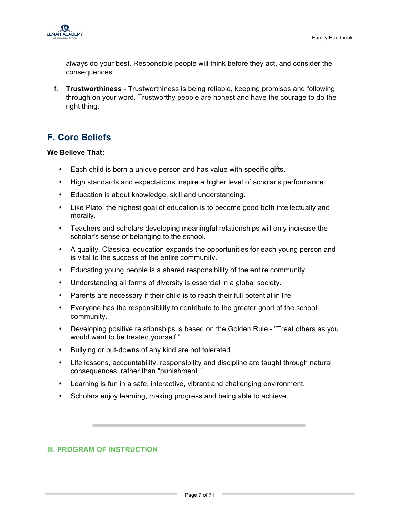

always do your best. Responsible people will think before they act, and consider the consequences.

f. **Trustworthiness** - Trustworthiness is being reliable, keeping promises and following through on your word. Trustworthy people are honest and have the courage to do the right thing.

# **F. Core Beliefs**

#### **We Believe That:**

- Each child is born a unique person and has value with specific gifts.
- High standards and expectations inspire a higher level of scholar's performance.
- Education is about knowledge, skill and understanding.
- Like Plato, the highest goal of education is to become good both intellectually and morally.
- Teachers and scholars developing meaningful relationships will only increase the scholar's sense of belonging to the school.
- A quality, Classical education expands the opportunities for each young person and is vital to the success of the entire community.
- Educating young people is a shared responsibility of the entire community.
- Understanding all forms of diversity is essential in a global society.
- Parents are necessary if their child is to reach their full potential in life.
- Everyone has the responsibility to contribute to the greater good of the school community.
- Developing positive relationships is based on the Golden Rule "Treat others as you would want to be treated yourself."
- Bullying or put-downs of any kind are not tolerated.
- Life lessons, accountability, responsibility and discipline are taught through natural consequences, rather than "punishment."
- Learning is fun in a safe, interactive, vibrant and challenging environment.
- Scholars enjoy learning, making progress and being able to achieve.

#### **III. PROGRAM OF INSTRUCTION**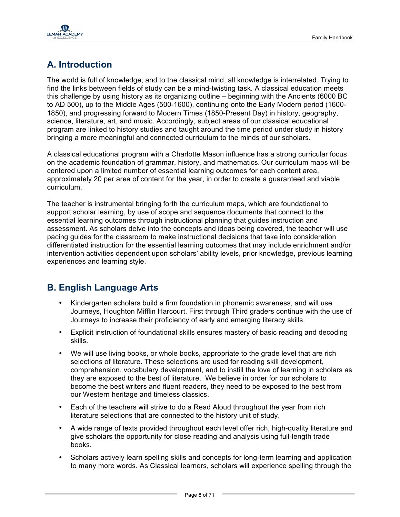

# **A. Introduction**

The world is full of knowledge, and to the classical mind, all knowledge is interrelated. Trying to find the links between fields of study can be a mind-twisting task. A classical education meets this challenge by using history as its organizing outline – beginning with the Ancients (6000 BC to AD 500), up to the Middle Ages (500-1600), continuing onto the Early Modern period (1600- 1850), and progressing forward to Modern Times (1850-Present Day) in history, geography, science, literature, art, and music. Accordingly, subject areas of our classical educational program are linked to history studies and taught around the time period under study in history bringing a more meaningful and connected curriculum to the minds of our scholars.

A classical educational program with a Charlotte Mason influence has a strong curricular focus on the academic foundation of grammar, history, and mathematics. Our curriculum maps will be centered upon a limited number of essential learning outcomes for each content area, approximately 20 per area of content for the year, in order to create a guaranteed and viable curriculum.

The teacher is instrumental bringing forth the curriculum maps, which are foundational to support scholar learning, by use of scope and sequence documents that connect to the essential learning outcomes through instructional planning that guides instruction and assessment. As scholars delve into the concepts and ideas being covered, the teacher will use pacing guides for the classroom to make instructional decisions that take into consideration differentiated instruction for the essential learning outcomes that may include enrichment and/or intervention activities dependent upon scholars' ability levels, prior knowledge, previous learning experiences and learning style.

# **B. English Language Arts**

- Kindergarten scholars build a firm foundation in phonemic awareness, and will use Journeys, Houghton Mifflin Harcourt. First through Third graders continue with the use of Journeys to increase their proficiency of early and emerging literacy skills.
- Explicit instruction of foundational skills ensures mastery of basic reading and decoding skills.
- We will use living books, or whole books, appropriate to the grade level that are rich selections of literature. These selections are used for reading skill development, comprehension, vocabulary development, and to instill the love of learning in scholars as they are exposed to the best of literature. We believe in order for our scholars to become the best writers and fluent readers, they need to be exposed to the best from our Western heritage and timeless classics.
- Each of the teachers will strive to do a Read Aloud throughout the year from rich literature selections that are connected to the history unit of study.
- A wide range of texts provided throughout each level offer rich, high-quality literature and give scholars the opportunity for close reading and analysis using full-length trade books.
- Scholars actively learn spelling skills and concepts for long-term learning and application to many more words. As Classical learners, scholars will experience spelling through the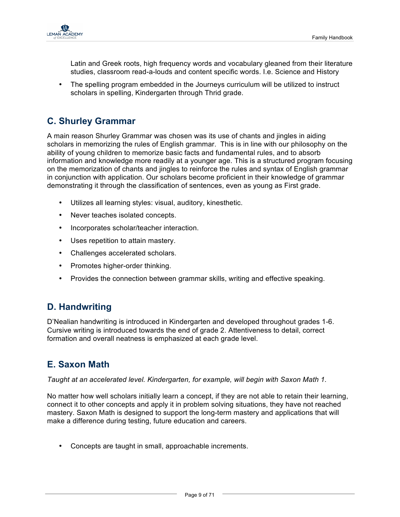

Latin and Greek roots, high frequency words and vocabulary gleaned from their literature studies, classroom read-a-louds and content specific words. I.e. Science and History

• The spelling program embedded in the Journeys curriculum will be utilized to instruct scholars in spelling, Kindergarten through Thrid grade.

# **C. Shurley Grammar**

A main reason Shurley Grammar was chosen was its use of chants and jingles in aiding scholars in memorizing the rules of English grammar. This is in line with our philosophy on the ability of young children to memorize basic facts and fundamental rules, and to absorb information and knowledge more readily at a younger age. This is a structured program focusing on the memorization of chants and jingles to reinforce the rules and syntax of English grammar in conjunction with application. Our scholars become proficient in their knowledge of grammar demonstrating it through the classification of sentences, even as young as First grade.

- Utilizes all learning styles: visual, auditory, kinesthetic.
- Never teaches isolated concepts.
- Incorporates scholar/teacher interaction.
- Uses repetition to attain mastery.
- Challenges accelerated scholars.
- Promotes higher-order thinking.
- Provides the connection between grammar skills, writing and effective speaking.

# **D. Handwriting**

D'Nealian handwriting is introduced in Kindergarten and developed throughout grades 1-6. Cursive writing is introduced towards the end of grade 2. Attentiveness to detail, correct formation and overall neatness is emphasized at each grade level.

### **E. Saxon Math**

*Taught at an accelerated level. Kindergarten, for example, will begin with Saxon Math 1.*

No matter how well scholars initially learn a concept, if they are not able to retain their learning, connect it to other concepts and apply it in problem solving situations, they have not reached mastery. Saxon Math is designed to support the long-term mastery and applications that will make a difference during testing, future education and careers.

• Concepts are taught in small, approachable increments.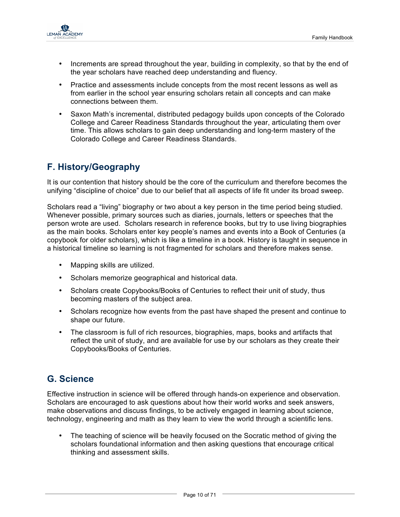

- Increments are spread throughout the year, building in complexity, so that by the end of the year scholars have reached deep understanding and fluency.
- Practice and assessments include concepts from the most recent lessons as well as from earlier in the school year ensuring scholars retain all concepts and can make connections between them.
- Saxon Math's incremental, distributed pedagogy builds upon concepts of the Colorado College and Career Readiness Standards throughout the year, articulating them over time. This allows scholars to gain deep understanding and long-term mastery of the Colorado College and Career Readiness Standards.

# **F. History/Geography**

It is our contention that history should be the core of the curriculum and therefore becomes the unifying "discipline of choice" due to our belief that all aspects of life fit under its broad sweep.

Scholars read a "living" biography or two about a key person in the time period being studied. Whenever possible, primary sources such as diaries, journals, letters or speeches that the person wrote are used. Scholars research in reference books, but try to use living biographies as the main books. Scholars enter key people's names and events into a Book of Centuries (a copybook for older scholars), which is like a timeline in a book. History is taught in sequence in a historical timeline so learning is not fragmented for scholars and therefore makes sense.

- Mapping skills are utilized.
- Scholars memorize geographical and historical data.
- Scholars create Copybooks/Books of Centuries to reflect their unit of study, thus becoming masters of the subject area.
- Scholars recognize how events from the past have shaped the present and continue to shape our future.
- The classroom is full of rich resources, biographies, maps, books and artifacts that reflect the unit of study, and are available for use by our scholars as they create their Copybooks/Books of Centuries.

# **G. Science**

Effective instruction in science will be offered through hands-on experience and observation. Scholars are encouraged to ask questions about how their world works and seek answers, make observations and discuss findings, to be actively engaged in learning about science, technology, engineering and math as they learn to view the world through a scientific lens.

• The teaching of science will be heavily focused on the Socratic method of giving the scholars foundational information and then asking questions that encourage critical thinking and assessment skills.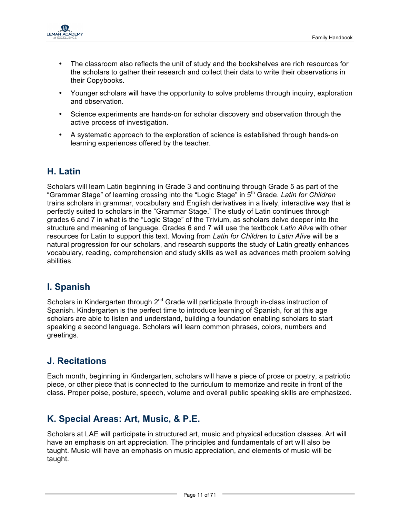

- The classroom also reflects the unit of study and the bookshelves are rich resources for the scholars to gather their research and collect their data to write their observations in their Copybooks.
- Younger scholars will have the opportunity to solve problems through inquiry, exploration and observation.
- Science experiments are hands-on for scholar discovery and observation through the active process of investigation.
- A systematic approach to the exploration of science is established through hands-on learning experiences offered by the teacher.

# **H. Latin**

Scholars will learn Latin beginning in Grade 3 and continuing through Grade 5 as part of the "Grammar Stage" of learning crossing into the "Logic Stage" in 5th Grade. *Latin for Children* trains scholars in grammar, vocabulary and English derivatives in a lively, interactive way that is perfectly suited to scholars in the "Grammar Stage." The study of Latin continues through grades 6 and 7 in what is the "Logic Stage" of the Trivium, as scholars delve deeper into the structure and meaning of language. Grades 6 and 7 will use the textbook *Latin Alive* with other resources for Latin to support this text. Moving from *Latin for Children* to *Latin Alive* will be a natural progression for our scholars, and research supports the study of Latin greatly enhances vocabulary, reading, comprehension and study skills as well as advances math problem solving abilities.

# **I. Spanish**

Scholars in Kindergarten through 2<sup>nd</sup> Grade will participate through in-class instruction of Spanish. Kindergarten is the perfect time to introduce learning of Spanish, for at this age scholars are able to listen and understand, building a foundation enabling scholars to start speaking a second language. Scholars will learn common phrases, colors, numbers and greetings.

# **J. Recitations**

Each month, beginning in Kindergarten, scholars will have a piece of prose or poetry, a patriotic piece, or other piece that is connected to the curriculum to memorize and recite in front of the class. Proper poise, posture, speech, volume and overall public speaking skills are emphasized.

# **K. Special Areas: Art, Music, & P.E.**

Scholars at LAE will participate in structured art, music and physical education classes. Art will have an emphasis on art appreciation. The principles and fundamentals of art will also be taught. Music will have an emphasis on music appreciation, and elements of music will be taught.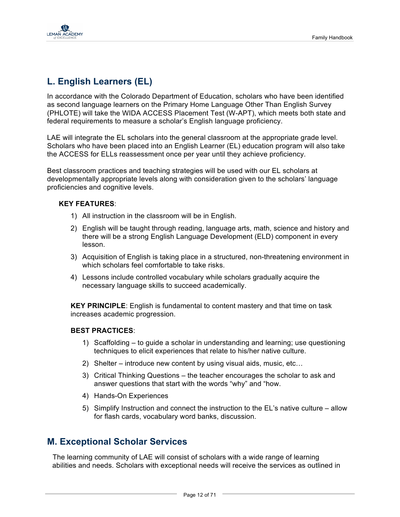

# **L. English Learners (EL)**

In accordance with the Colorado Department of Education, scholars who have been identified as second language learners on the Primary Home Language Other Than English Survey (PHLOTE) will take the WIDA ACCESS Placement Test (W-APT), which meets both state and federal requirements to measure a scholar's English language proficiency.

LAE will integrate the EL scholars into the general classroom at the appropriate grade level. Scholars who have been placed into an English Learner (EL) education program will also take the ACCESS for ELLs reassessment once per year until they achieve proficiency.

Best classroom practices and teaching strategies will be used with our EL scholars at developmentally appropriate levels along with consideration given to the scholars' language proficiencies and cognitive levels.

#### **KEY FEATURES**:

- 1) All instruction in the classroom will be in English.
- 2) English will be taught through reading, language arts, math, science and history and there will be a strong English Language Development (ELD) component in every lesson.
- 3) Acquisition of English is taking place in a structured, non-threatening environment in which scholars feel comfortable to take risks.
- 4) Lessons include controlled vocabulary while scholars gradually acquire the necessary language skills to succeed academically.

**KEY PRINCIPLE**: English is fundamental to content mastery and that time on task increases academic progression.

#### **BEST PRACTICES**:

- 1) Scaffolding to guide a scholar in understanding and learning; use questioning techniques to elicit experiences that relate to his/her native culture.
- 2) Shelter introduce new content by using visual aids, music, etc…
- 3) Critical Thinking Questions the teacher encourages the scholar to ask and answer questions that start with the words "why" and "how.
- 4) Hands-On Experiences
- 5) Simplify Instruction and connect the instruction to the EL's native culture allow for flash cards, vocabulary word banks, discussion.

### **M. Exceptional Scholar Services**

The learning community of LAE will consist of scholars with a wide range of learning abilities and needs. Scholars with exceptional needs will receive the services as outlined in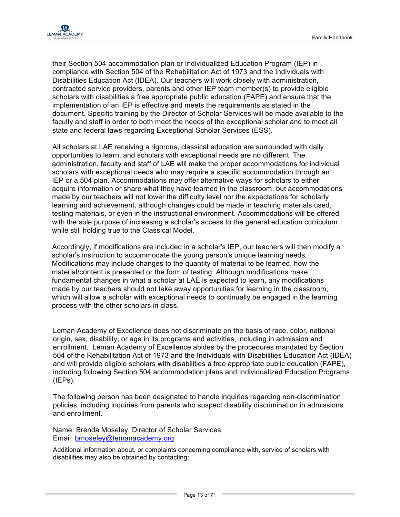

their Section 504 accommodation plan or Individualized Education Program (IEP) in compliance with Section 504 of the Rehabilitation Act of 1973 and the Individuals with Disabilities Education Act (IDEA). Our teachers will work closely with administration, contracted service providers, parents and other IEP team member(s) to provide eligible scholars with disabilities a free appropriate public education (FAPE) and ensure that the implementation of an IEP is effective and meets the requirements as stated in the document. Specific training by the Director of Scholar Services will be made available to the faculty and staff in order to both meet the needs of the exceptional scholar and to meet all state and federal laws regarding Exceptional Scholar Services (ESS).

All scholars at LAE receiving a rigorous, classical education are surrounded with daily opportunities to learn, and scholars with exceptional needs are no different. The administration, faculty and staff of LAE will make the proper accommodations for individual scholars with exceptional needs who may require a specific accommodation through an IEP or a 504 plan. Accommodations may offer alternative ways for scholars to either acquire information or share what they have learned in the classroom, but accommodations made by our teachers will not lower the difficulty level nor the expectations for scholarly learning and achievement, although changes could be made in teaching materials used, testing materials, or even in the instructional environment. Accommodations will be offered with the sole purpose of increasing a scholar's access to the general education curriculum while still holding true to the Classical Model.

Accordingly, if modifications are included in a scholar's IEP, our teachers will then modify a scholar's instruction to accommodate the young person's unique learning needs. Modifications may include changes to the quantity of material to be learned, how the material/content is presented or the form of testing. Although modifications make fundamental changes in what a scholar at LAE is expected to learn, any modifications made by our teachers should not take away opportunities for learning in the classroom, which will allow a scholar with exceptional needs to continually be engaged in the learning process with the other scholars in class.

Leman Academy of Excellence does not discriminate on the basis of race, color, national origin, sex, disability, or age in its programs and activities, including in admission and enrollment. Leman Academy of Excellence abides by the procedures mandated by Section 504 of the Rehabilitation Act of 1973 and the Individuals with Disabilities Education Act (IDEA) and will provide eligible scholars with disabilities a free appropriate public education (FAPE), including following Section 504 accommodation plans and Individualized Education Programs (IEPs).

The following person has been designated to handle inquiries regarding non-discrimination policies, including inquiries from parents who suspect disability discrimination in admissions and enrollment.

Name: Brenda Moseley, Director of Scholar Services Email: bmoseley@lemanacademy.org

Additional information about, or complaints concerning compliance with, service of scholars with disabilities may also be obtained by contacting: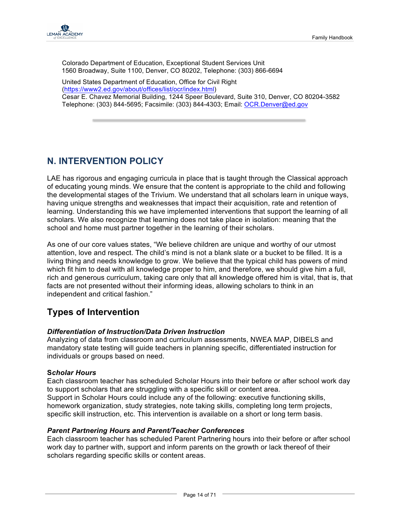

 Colorado Department of Education, Exceptional Student Services Unit 1560 Broadway, Suite 1100, Denver, CO 80202, Telephone: (303) 866-6694

 United States Department of Education, Office for Civil Right (https://www2.ed.gov/about/offices/list/ocr/index.html)

 Cesar E. Chavez Memorial Building, 1244 Speer Boulevard, Suite 310, Denver, CO 80204-3582 Telephone: (303) 844-5695; Facsimile: (303) 844-4303; Email: OCR.Denver@ed.gov

# **N. INTERVENTION POLICY**

LAE has rigorous and engaging curricula in place that is taught through the Classical approach of educating young minds. We ensure that the content is appropriate to the child and following the developmental stages of the Trivium. We understand that all scholars learn in unique ways, having unique strengths and weaknesses that impact their acquisition, rate and retention of learning. Understanding this we have implemented interventions that support the learning of all scholars. We also recognize that learning does not take place in isolation: meaning that the school and home must partner together in the learning of their scholars.

As one of our core values states, "We believe children are unique and worthy of our utmost attention, love and respect. The child's mind is not a blank slate or a bucket to be filled. It is a living thing and needs knowledge to grow. We believe that the typical child has powers of mind which fit him to deal with all knowledge proper to him, and therefore, we should give him a full, rich and generous curriculum, taking care only that all knowledge offered him is vital, that is, that facts are not presented without their informing ideas, allowing scholars to think in an independent and critical fashion."

# **Types of Intervention**

#### *Differentiation of Instruction/Data Driven Instruction*

Analyzing of data from classroom and curriculum assessments, NWEA MAP, DIBELS and mandatory state testing will guide teachers in planning specific, differentiated instruction for individuals or groups based on need.

#### **S***cholar Hours*

Each classroom teacher has scheduled Scholar Hours into their before or after school work day to support scholars that are struggling with a specific skill or content area. Support in Scholar Hours could include any of the following: executive functioning skills, homework organization, study strategies, note taking skills, completing long term projects, specific skill instruction, etc. This intervention is available on a short or long term basis.

#### *Parent Partnering Hours and Parent/Teacher Conferences*

Each classroom teacher has scheduled Parent Partnering hours into their before or after school work day to partner with, support and inform parents on the growth or lack thereof of their scholars regarding specific skills or content areas.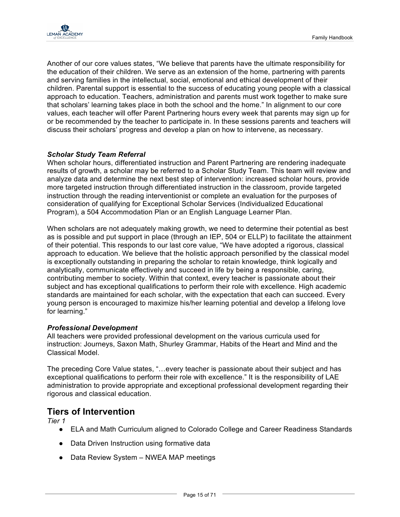

Another of our core values states, "We believe that parents have the ultimate responsibility for the education of their children. We serve as an extension of the home, partnering with parents and serving families in the intellectual, social, emotional and ethical development of their children. Parental support is essential to the success of educating young people with a classical approach to education. Teachers, administration and parents must work together to make sure that scholars' learning takes place in both the school and the home." In alignment to our core values, each teacher will offer Parent Partnering hours every week that parents may sign up for or be recommended by the teacher to participate in. In these sessions parents and teachers will discuss their scholars' progress and develop a plan on how to intervene, as necessary.

#### *Scholar Study Team Referral*

When scholar hours, differentiated instruction and Parent Partnering are rendering inadequate results of growth, a scholar may be referred to a Scholar Study Team. This team will review and analyze data and determine the next best step of intervention: increased scholar hours, provide more targeted instruction through differentiated instruction in the classroom, provide targeted instruction through the reading interventionist or complete an evaluation for the purposes of consideration of qualifying for Exceptional Scholar Services (Individualized Educational Program), a 504 Accommodation Plan or an English Language Learner Plan.

When scholars are not adequately making growth, we need to determine their potential as best as is possible and put support in place (through an IEP, 504 or ELLP) to facilitate the attainment of their potential. This responds to our last core value, "We have adopted a rigorous, classical approach to education. We believe that the holistic approach personified by the classical model is exceptionally outstanding in preparing the scholar to retain knowledge, think logically and analytically, communicate effectively and succeed in life by being a responsible, caring, contributing member to society. Within that context, every teacher is passionate about their subject and has exceptional qualifications to perform their role with excellence. High academic standards are maintained for each scholar, with the expectation that each can succeed. Every young person is encouraged to maximize his/her learning potential and develop a lifelong love for learning."

#### *Professional Development*

All teachers were provided professional development on the various curricula used for instruction: Journeys, Saxon Math, Shurley Grammar, Habits of the Heart and Mind and the Classical Model.

The preceding Core Value states, "…every teacher is passionate about their subject and has exceptional qualifications to perform their role with excellence." It is the responsibility of LAE administration to provide appropriate and exceptional professional development regarding their rigorous and classical education.

### **Tiers of Intervention**

*Tier 1*

- ELA and Math Curriculum aligned to Colorado College and Career Readiness Standards
- Data Driven Instruction using formative data
- Data Review System NWEA MAP meetings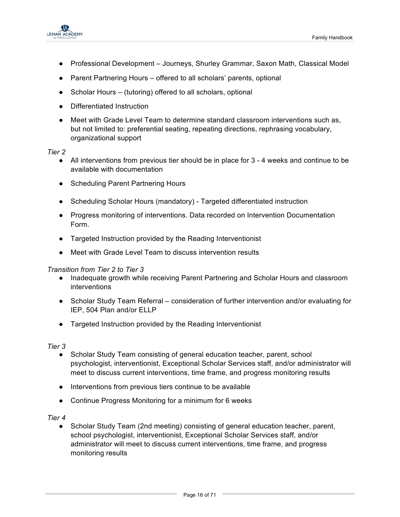

- Professional Development Journeys, Shurley Grammar, Saxon Math, Classical Model
- Parent Partnering Hours offered to all scholars' parents, optional
- Scholar Hours (tutoring) offered to all scholars, optional
- Differentiated Instruction
- Meet with Grade Level Team to determine standard classroom interventions such as, but not limited to: preferential seating, repeating directions, rephrasing vocabulary, organizational support

*Tier 2*

- All interventions from previous tier should be in place for 3 4 weeks and continue to be available with documentation
- Scheduling Parent Partnering Hours
- Scheduling Scholar Hours (mandatory) Targeted differentiated instruction
- Progress monitoring of interventions. Data recorded on Intervention Documentation Form.
- Targeted Instruction provided by the Reading Interventionist
- Meet with Grade Level Team to discuss intervention results

*Transition from Tier 2 to Tier 3*

- Inadequate growth while receiving Parent Partnering and Scholar Hours and classroom interventions
- Scholar Study Team Referral consideration of further intervention and/or evaluating for IEP, 504 Plan and/or ELLP
- Targeted Instruction provided by the Reading Interventionist

*Tier 3*

- Scholar Study Team consisting of general education teacher, parent, school psychologist, interventionist, Exceptional Scholar Services staff, and/or administrator will meet to discuss current interventions, time frame, and progress monitoring results
- Interventions from previous tiers continue to be available
- Continue Progress Monitoring for a minimum for 6 weeks

*Tier 4*

● Scholar Study Team (2nd meeting) consisting of general education teacher, parent, school psychologist, interventionist, Exceptional Scholar Services staff, and/or administrator will meet to discuss current interventions, time frame, and progress monitoring results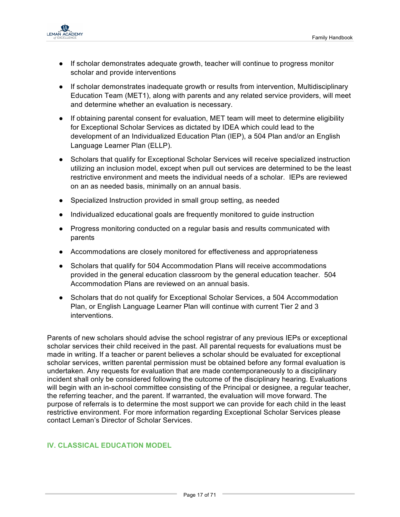

- If scholar demonstrates adequate growth, teacher will continue to progress monitor scholar and provide interventions
- If scholar demonstrates inadequate growth or results from intervention, Multidisciplinary Education Team (MET1), along with parents and any related service providers, will meet and determine whether an evaluation is necessary.
- If obtaining parental consent for evaluation, MET team will meet to determine eligibility for Exceptional Scholar Services as dictated by IDEA which could lead to the development of an Individualized Education Plan (IEP), a 504 Plan and/or an English Language Learner Plan (ELLP).
- Scholars that qualify for Exceptional Scholar Services will receive specialized instruction utilizing an inclusion model, except when pull out services are determined to be the least restrictive environment and meets the individual needs of a scholar. IEPs are reviewed on an as needed basis, minimally on an annual basis.
- Specialized Instruction provided in small group setting, as needed
- Individualized educational goals are frequently monitored to guide instruction
- Progress monitoring conducted on a regular basis and results communicated with parents
- Accommodations are closely monitored for effectiveness and appropriateness
- Scholars that qualify for 504 Accommodation Plans will receive accommodations provided in the general education classroom by the general education teacher. 504 Accommodation Plans are reviewed on an annual basis.
- Scholars that do not qualify for Exceptional Scholar Services, a 504 Accommodation Plan, or English Language Learner Plan will continue with current Tier 2 and 3 interventions.

Parents of new scholars should advise the school registrar of any previous IEPs or exceptional scholar services their child received in the past. All parental requests for evaluations must be made in writing. If a teacher or parent believes a scholar should be evaluated for exceptional scholar services, written parental permission must be obtained before any formal evaluation is undertaken. Any requests for evaluation that are made contemporaneously to a disciplinary incident shall only be considered following the outcome of the disciplinary hearing. Evaluations will begin with an in-school committee consisting of the Principal or designee, a regular teacher, the referring teacher, and the parent. If warranted, the evaluation will move forward. The purpose of referrals is to determine the most support we can provide for each child in the least restrictive environment. For more information regarding Exceptional Scholar Services please contact Leman's Director of Scholar Services.

### **IV. CLASSICAL EDUCATION MODEL**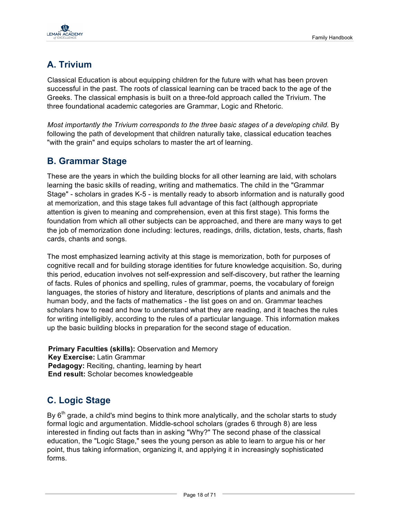

# **A. Trivium**

Classical Education is about equipping children for the future with what has been proven successful in the past. The roots of classical learning can be traced back to the age of the Greeks. The classical emphasis is built on a three-fold approach called the Trivium. The three foundational academic categories are Grammar, Logic and Rhetoric.

*Most importantly the Trivium corresponds to the three basic stages of a developing child.* By following the path of development that children naturally take, classical education teaches "with the grain" and equips scholars to master the art of learning.

# **B. Grammar Stage**

These are the years in which the building blocks for all other learning are laid, with scholars learning the basic skills of reading, writing and mathematics. The child in the "Grammar Stage" - scholars in grades K-5 - is mentally ready to absorb information and is naturally good at memorization, and this stage takes full advantage of this fact (although appropriate attention is given to meaning and comprehension, even at this first stage). This forms the foundation from which all other subjects can be approached, and there are many ways to get the job of memorization done including: lectures, readings, drills, dictation, tests, charts, flash cards, chants and songs.

The most emphasized learning activity at this stage is memorization, both for purposes of cognitive recall and for building storage identities for future knowledge acquisition. So, during this period, education involves not self-expression and self-discovery, but rather the learning of facts. Rules of phonics and spelling, rules of grammar, poems, the vocabulary of foreign languages, the stories of history and literature, descriptions of plants and animals and the human body, and the facts of mathematics - the list goes on and on. Grammar teaches scholars how to read and how to understand what they are reading, and it teaches the rules for writing intelligibly, according to the rules of a particular language. This information makes up the basic building blocks in preparation for the second stage of education.

**Primary Faculties (skills):** Observation and Memory **Key Exercise:** Latin Grammar **Pedagogy:** Reciting, chanting, learning by heart **End result:** Scholar becomes knowledgeable

# **C. Logic Stage**

By  $6<sup>th</sup>$  grade, a child's mind begins to think more analytically, and the scholar starts to study formal logic and argumentation. Middle-school scholars (grades 6 through 8) are less interested in finding out facts than in asking "Why?" The second phase of the classical education, the "Logic Stage," sees the young person as able to learn to argue his or her point, thus taking information, organizing it, and applying it in increasingly sophisticated forms.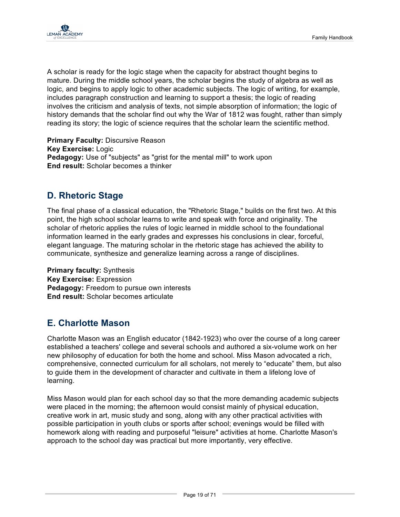

A scholar is ready for the logic stage when the capacity for abstract thought begins to mature. During the middle school years, the scholar begins the study of algebra as well as logic, and begins to apply logic to other academic subjects. The logic of writing, for example, includes paragraph construction and learning to support a thesis; the logic of reading involves the criticism and analysis of texts, not simple absorption of information; the logic of history demands that the scholar find out why the War of 1812 was fought, rather than simply reading its story; the logic of science requires that the scholar learn the scientific method.

**Primary Faculty: Discursive Reason Key Exercise:** Logic **Pedagogy:** Use of "subjects" as "grist for the mental mill" to work upon **End result:** Scholar becomes a thinker

# **D. Rhetoric Stage**

The final phase of a classical education, the "Rhetoric Stage," builds on the first two. At this point, the high school scholar learns to write and speak with force and originality. The scholar of rhetoric applies the rules of logic learned in middle school to the foundational information learned in the early grades and expresses his conclusions in clear, forceful, elegant language. The maturing scholar in the rhetoric stage has achieved the ability to communicate, synthesize and generalize learning across a range of disciplines.

**Primary faculty:** Synthesis **Key Exercise:** Expression **Pedagogy:** Freedom to pursue own interests **End result:** Scholar becomes articulate

# **E. Charlotte Mason**

Charlotte Mason was an English educator (1842-1923) who over the course of a long career established a teachers' college and several schools and authored a six-volume work on her new philosophy of education for both the home and school. Miss Mason advocated a rich, comprehensive, connected curriculum for all scholars, not merely to "educate" them, but also to guide them in the development of character and cultivate in them a lifelong love of learning.

Miss Mason would plan for each school day so that the more demanding academic subjects were placed in the morning; the afternoon would consist mainly of physical education, creative work in art, music study and song, along with any other practical activities with possible participation in youth clubs or sports after school; evenings would be filled with homework along with reading and purposeful "leisure" activities at home. Charlotte Mason's approach to the school day was practical but more importantly, very effective.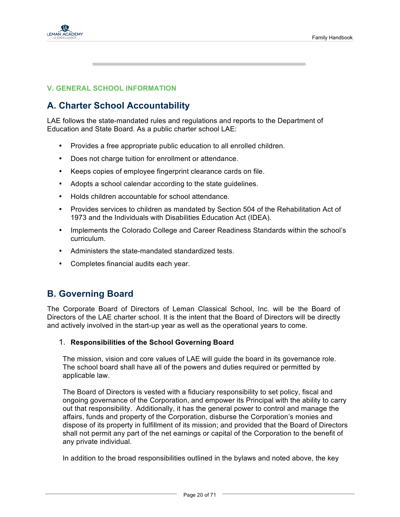

### **V. GENERAL SCHOOL INFORMATION**

# **A. Charter School Accountability**

LAE follows the state-mandated rules and regulations and reports to the Department of Education and State Board. As a public charter school LAE:

- Provides a free appropriate public education to all enrolled children.
- Does not charge tuition for enrollment or attendance.
- Keeps copies of employee fingerprint clearance cards on file.
- Adopts a school calendar according to the state guidelines.
- Holds children accountable for school attendance.
- Provides services to children as mandated by Section 504 of the Rehabilitation Act of 1973 and the Individuals with Disabilities Education Act (IDEA).
- Implements the Colorado College and Career Readiness Standards within the school's curriculum.
- Administers the state-mandated standardized tests.
- Completes financial audits each year.

# **B. Governing Board**

The Corporate Board of Directors of Leman Classical School, Inc. will be the Board of Directors of the LAE charter school. It is the intent that the Board of Directors will be directly and actively involved in the start-up year as well as the operational years to come.

#### 1. **Responsibilities of the School Governing Board**

The mission, vision and core values of LAE will guide the board in its governance role. The school board shall have all of the powers and duties required or permitted by applicable law.

The Board of Directors is vested with a fiduciary responsibility to set policy, fiscal and ongoing governance of the Corporation, and empower its Principal with the ability to carry out that responsibility. Additionally, it has the general power to control and manage the affairs, funds and property of the Corporation, disburse the Corporation's monies and dispose of its property in fulfillment of its mission; and provided that the Board of Directors shall not permit any part of the net earnings or capital of the Corporation to the benefit of any private individual.

In addition to the broad responsibilities outlined in the bylaws and noted above, the key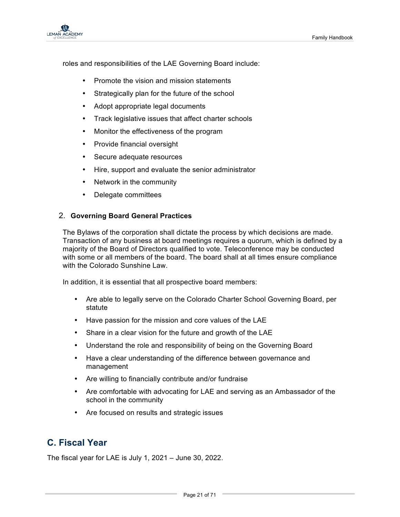

roles and responsibilities of the LAE Governing Board include:

- Promote the vision and mission statements
- Strategically plan for the future of the school
- Adopt appropriate legal documents
- Track legislative issues that affect charter schools
- Monitor the effectiveness of the program
- Provide financial oversight
- Secure adequate resources
- Hire, support and evaluate the senior administrator
- Network in the community
- Delegate committees

#### 2. **Governing Board General Practices**

The Bylaws of the corporation shall dictate the process by which decisions are made. Transaction of any business at board meetings requires a quorum, which is defined by a majority of the Board of Directors qualified to vote. Teleconference may be conducted with some or all members of the board. The board shall at all times ensure compliance with the Colorado Sunshine Law.

In addition, it is essential that all prospective board members:

- Are able to legally serve on the Colorado Charter School Governing Board, per statute
- Have passion for the mission and core values of the LAE
- Share in a clear vision for the future and growth of the LAE
- Understand the role and responsibility of being on the Governing Board
- Have a clear understanding of the difference between governance and management
- Are willing to financially contribute and/or fundraise
- Are comfortable with advocating for LAE and serving as an Ambassador of the school in the community
- Are focused on results and strategic issues

### **C. Fiscal Year**

The fiscal year for LAE is July 1, 2021 – June 30, 2022.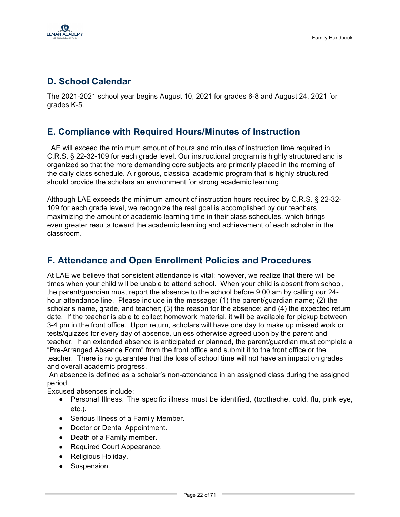

# **D. School Calendar**

The 2021-2021 school year begins August 10, 2021 for grades 6-8 and August 24, 2021 for grades K-5.

# **E. Compliance with Required Hours/Minutes of Instruction**

LAE will exceed the minimum amount of hours and minutes of instruction time required in C.R.S. § 22-32-109 for each grade level. Our instructional program is highly structured and is organized so that the more demanding core subjects are primarily placed in the morning of the daily class schedule. A rigorous, classical academic program that is highly structured should provide the scholars an environment for strong academic learning.

Although LAE exceeds the minimum amount of instruction hours required by C.R.S. § 22-32- 109 for each grade level, we recognize the real goal is accomplished by our teachers maximizing the amount of academic learning time in their class schedules, which brings even greater results toward the academic learning and achievement of each scholar in the classroom.

# **F. Attendance and Open Enrollment Policies and Procedures**

At LAE we believe that consistent attendance is vital; however, we realize that there will be times when your child will be unable to attend school. When your child is absent from school, the parent/guardian must report the absence to the school before 9:00 am by calling our 24 hour attendance line. Please include in the message: (1) the parent/guardian name; (2) the scholar's name, grade, and teacher; (3) the reason for the absence; and (4) the expected return date. If the teacher is able to collect homework material, it will be available for pickup between 3-4 pm in the front office. Upon return, scholars will have one day to make up missed work or tests/quizzes for every day of absence, unless otherwise agreed upon by the parent and teacher. If an extended absence is anticipated or planned, the parent/guardian must complete a "Pre-Arranged Absence Form" from the front office and submit it to the front office or the teacher. There is no guarantee that the loss of school time will not have an impact on grades and overall academic progress.

An absence is defined as a scholar's non-attendance in an assigned class during the assigned period.

Excused absences include:

- Personal Illness. The specific illness must be identified, (toothache, cold, flu, pink eye, etc.).
- Serious Illness of a Family Member.
- Doctor or Dental Appointment.
- Death of a Family member.
- Required Court Appearance.
- Religious Holiday.
- Suspension.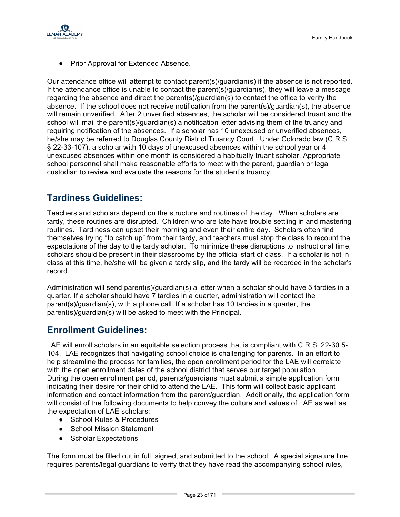

● Prior Approval for Extended Absence.

Our attendance office will attempt to contact parent(s)/guardian(s) if the absence is not reported. If the attendance office is unable to contact the parent(s)/guardian(s), they will leave a message regarding the absence and direct the parent(s)/guardian(s) to contact the office to verify the absence. If the school does not receive notification from the parent(s)/guardian(s), the absence will remain unverified. After 2 unverified absences, the scholar will be considered truant and the school will mail the parent(s)/guardian(s) a notification letter advising them of the truancy and requiring notification of the absences. If a scholar has 10 unexcused or unverified absences, he/she may be referred to Douglas County District Truancy Court. Under Colorado law (C.R.S. § 22-33-107), a scholar with 10 days of unexcused absences within the school year or 4 unexcused absences within one month is considered a habitually truant scholar. Appropriate school personnel shall make reasonable efforts to meet with the parent, guardian or legal custodian to review and evaluate the reasons for the student's truancy.

### **Tardiness Guidelines:**

Teachers and scholars depend on the structure and routines of the day. When scholars are tardy, these routines are disrupted. Children who are late have trouble settling in and mastering routines. Tardiness can upset their morning and even their entire day. Scholars often find themselves trying "to catch up" from their tardy, and teachers must stop the class to recount the expectations of the day to the tardy scholar. To minimize these disruptions to instructional time, scholars should be present in their classrooms by the official start of class. If a scholar is not in class at this time, he/she will be given a tardy slip, and the tardy will be recorded in the scholar's record.

Administration will send parent(s)/guardian(s) a letter when a scholar should have 5 tardies in a quarter. If a scholar should have 7 tardies in a quarter, administration will contact the parent(s)/guardian(s), with a phone call. If a scholar has 10 tardies in a quarter, the parent(s)/guardian(s) will be asked to meet with the Principal.

### **Enrollment Guidelines:**

LAE will enroll scholars in an equitable selection process that is compliant with C.R.S. 22-30.5- 104. LAE recognizes that navigating school choice is challenging for parents. In an effort to help streamline the process for families, the open enrollment period for the LAE will correlate with the open enrollment dates of the school district that serves our target population. During the open enrollment period, parents/guardians must submit a simple application form indicating their desire for their child to attend the LAE. This form will collect basic applicant information and contact information from the parent/guardian. Additionally, the application form will consist of the following documents to help convey the culture and values of LAE as well as the expectation of LAE scholars:

- School Rules & Procedures
- School Mission Statement
- Scholar Expectations

The form must be filled out in full, signed, and submitted to the school. A special signature line requires parents/legal guardians to verify that they have read the accompanying school rules,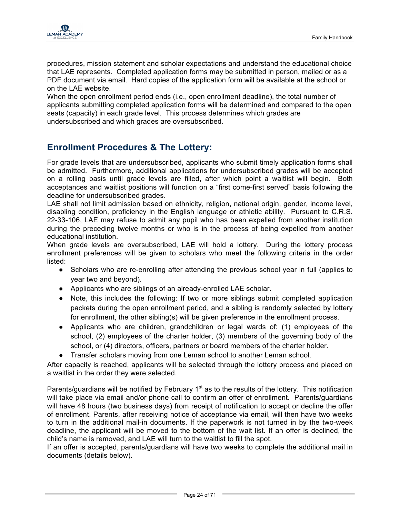

procedures, mission statement and scholar expectations and understand the educational choice that LAE represents. Completed application forms may be submitted in person, mailed or as a PDF document via email. Hard copies of the application form will be available at the school or on the LAE website.

When the open enrollment period ends (i.e., open enrollment deadline), the total number of applicants submitting completed application forms will be determined and compared to the open seats (capacity) in each grade level. This process determines which grades are undersubscribed and which grades are oversubscribed.

# **Enrollment Procedures & The Lottery:**

For grade levels that are undersubscribed, applicants who submit timely application forms shall be admitted. Furthermore, additional applications for undersubscribed grades will be accepted on a rolling basis until grade levels are filled, after which point a waitlist will begin. Both acceptances and waitlist positions will function on a "first come-first served" basis following the deadline for undersubscribed grades.

LAE shall not limit admission based on ethnicity, religion, national origin, gender, income level, disabling condition, proficiency in the English language or athletic ability. Pursuant to C.R.S. 22-33-106, LAE may refuse to admit any pupil who has been expelled from another institution during the preceding twelve months or who is in the process of being expelled from another educational institution.

When grade levels are oversubscribed, LAE will hold a lottery. During the lottery process enrollment preferences will be given to scholars who meet the following criteria in the order listed:

- Scholars who are re-enrolling after attending the previous school year in full (applies to year two and beyond).
- Applicants who are siblings of an already-enrolled LAE scholar.
- Note, this includes the following: If two or more siblings submit completed application packets during the open enrollment period, and a sibling is randomly selected by lottery for enrollment, the other sibling(s) will be given preference in the enrollment process.
- Applicants who are children, grandchildren or legal wards of: (1) employees of the school, (2) employees of the charter holder, (3) members of the governing body of the school, or (4) directors, officers, partners or board members of the charter holder.
- Transfer scholars moving from one Leman school to another Leman school.

After capacity is reached, applicants will be selected through the lottery process and placed on a waitlist in the order they were selected.

Parents/guardians will be notified by February  $1<sup>st</sup>$  as to the results of the lottery. This notification will take place via email and/or phone call to confirm an offer of enrollment. Parents/guardians will have 48 hours (two business days) from receipt of notification to accept or decline the offer of enrollment. Parents, after receiving notice of acceptance via email, will then have two weeks to turn in the additional mail-in documents. If the paperwork is not turned in by the two-week deadline, the applicant will be moved to the bottom of the wait list. If an offer is declined, the child's name is removed, and LAE will turn to the waitlist to fill the spot.

If an offer is accepted, parents/guardians will have two weeks to complete the additional mail in documents (details below).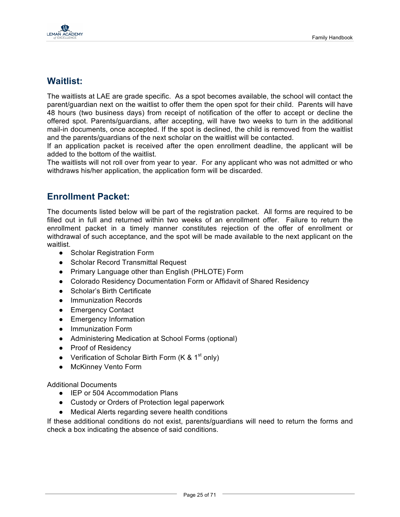

### **Waitlist:**

The waitlists at LAE are grade specific. As a spot becomes available, the school will contact the parent/guardian next on the waitlist to offer them the open spot for their child. Parents will have 48 hours (two business days) from receipt of notification of the offer to accept or decline the offered spot. Parents/guardians, after accepting, will have two weeks to turn in the additional mail-in documents, once accepted. If the spot is declined, the child is removed from the waitlist and the parents/guardians of the next scholar on the waitlist will be contacted.

If an application packet is received after the open enrollment deadline, the applicant will be added to the bottom of the waitlist.

The waitlists will not roll over from year to year. For any applicant who was not admitted or who withdraws his/her application, the application form will be discarded.

### **Enrollment Packet:**

The documents listed below will be part of the registration packet. All forms are required to be filled out in full and returned within two weeks of an enrollment offer. Failure to return the enrollment packet in a timely manner constitutes rejection of the offer of enrollment or withdrawal of such acceptance, and the spot will be made available to the next applicant on the waitlist.

- Scholar Registration Form
- Scholar Record Transmittal Request
- Primary Language other than English (PHLOTE) Form
- Colorado Residency Documentation Form or Affidavit of Shared Residency
- Scholar's Birth Certificate
- Immunization Records
- Emergency Contact
- Emergency Information
- Immunization Form
- Administering Medication at School Forms (optional)
- Proof of Residency
- Verification of Scholar Birth Form (K &  $1<sup>st</sup>$  only)
- McKinney Vento Form

Additional Documents

- IEP or 504 Accommodation Plans
- Custody or Orders of Protection legal paperwork
- Medical Alerts regarding severe health conditions

If these additional conditions do not exist, parents/guardians will need to return the forms and check a box indicating the absence of said conditions.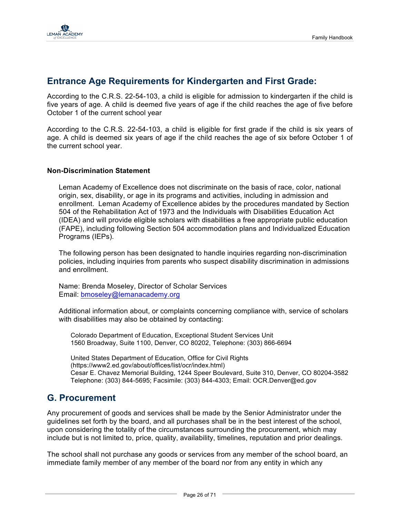

### **Entrance Age Requirements for Kindergarten and First Grade:**

According to the C.R.S. 22-54-103, a child is eligible for admission to kindergarten if the child is five years of age. A child is deemed five years of age if the child reaches the age of five before October 1 of the current school year

According to the C.R.S. 22-54-103, a child is eligible for first grade if the child is six years of age. A child is deemed six years of age if the child reaches the age of six before October 1 of the current school year.

#### **Non-Discrimination Statement**

Leman Academy of Excellence does not discriminate on the basis of race, color, national origin, sex, disability, or age in its programs and activities, including in admission and enrollment. Leman Academy of Excellence abides by the procedures mandated by Section 504 of the Rehabilitation Act of 1973 and the Individuals with Disabilities Education Act (IDEA) and will provide eligible scholars with disabilities a free appropriate public education (FAPE), including following Section 504 accommodation plans and Individualized Education Programs (IEPs).

The following person has been designated to handle inquiries regarding non-discrimination policies, including inquiries from parents who suspect disability discrimination in admissions and enrollment.

Name: Brenda Moseley, Director of Scholar Services Email: bmoseley@lemanacademy.org

Additional information about, or complaints concerning compliance with, service of scholars with disabilities may also be obtained by contacting:

Colorado Department of Education, Exceptional Student Services Unit 1560 Broadway, Suite 1100, Denver, CO 80202, Telephone: (303) 866-6694

United States Department of Education, Office for Civil Rights (https://www2.ed.gov/about/offices/list/ocr/index.html) Cesar E. Chavez Memorial Building, 1244 Speer Boulevard, Suite 310, Denver, CO 80204-3582 Telephone: (303) 844-5695; Facsimile: (303) 844-4303; Email: OCR.Denver@ed.gov

### **G. Procurement**

Any procurement of goods and services shall be made by the Senior Administrator under the guidelines set forth by the board, and all purchases shall be in the best interest of the school, upon considering the totality of the circumstances surrounding the procurement, which may include but is not limited to, price, quality, availability, timelines, reputation and prior dealings.

The school shall not purchase any goods or services from any member of the school board, an immediate family member of any member of the board nor from any entity in which any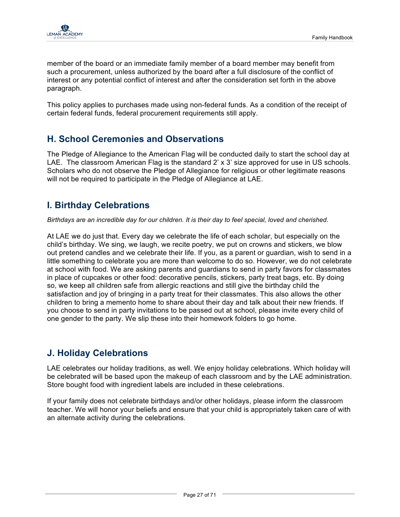member of the board or an immediate family member of a board member may benefit from such a procurement, unless authorized by the board after a full disclosure of the conflict of interest or any potential conflict of interest and after the consideration set forth in the above paragraph.

This policy applies to purchases made using non-federal funds. As a condition of the receipt of certain federal funds, federal procurement requirements still apply.

# **H. School Ceremonies and Observations**

The Pledge of Allegiance to the American Flag will be conducted daily to start the school day at LAE. The classroom American Flag is the standard  $2' \times 3'$  size approved for use in US schools. Scholars who do not observe the Pledge of Allegiance for religious or other legitimate reasons will not be required to participate in the Pledge of Allegiance at LAE.

# **I. Birthday Celebrations**

*Birthdays are an incredible day for our children. It is their day to feel special, loved and cherished.*

At LAE we do just that. Every day we celebrate the life of each scholar, but especially on the child's birthday. We sing, we laugh, we recite poetry, we put on crowns and stickers, we blow out pretend candles and we celebrate their life. If you, as a parent or guardian, wish to send in a little something to celebrate you are more than welcome to do so. However, we do not celebrate at school with food. We are asking parents and guardians to send in party favors for classmates in place of cupcakes or other food: decorative pencils, stickers, party treat bags, etc. By doing so, we keep all children safe from allergic reactions and still give the birthday child the satisfaction and joy of bringing in a party treat for their classmates. This also allows the other children to bring a memento home to share about their day and talk about their new friends. If you choose to send in party invitations to be passed out at school, please invite every child of one gender to the party. We slip these into their homework folders to go home.

# **J. Holiday Celebrations**

LAE celebrates our holiday traditions, as well. We enjoy holiday celebrations. Which holiday will be celebrated will be based upon the makeup of each classroom and by the LAE administration. Store bought food with ingredient labels are included in these celebrations.

If your family does not celebrate birthdays and/or other holidays, please inform the classroom teacher. We will honor your beliefs and ensure that your child is appropriately taken care of with an alternate activity during the celebrations.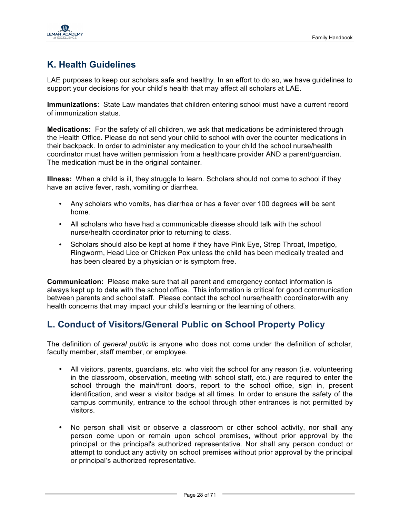

# **K. Health Guidelines**

LAE purposes to keep our scholars safe and healthy. In an effort to do so, we have guidelines to support your decisions for your child's health that may affect all scholars at LAE.

**Immunizations**: State Law mandates that children entering school must have a current record of immunization status.

**Medications:** For the safety of all children, we ask that medications be administered through the Health Office. Please do not send your child to school with over the counter medications in their backpack. In order to administer any medication to your child the school nurse/health coordinator must have written permission from a healthcare provider AND a parent/guardian. The medication must be in the original container.

**Illness:** When a child is ill, they struggle to learn. Scholars should not come to school if they have an active fever, rash, vomiting or diarrhea.

- Any scholars who vomits, has diarrhea or has a fever over 100 degrees will be sent home.
- All scholars who have had a communicable disease should talk with the school nurse/health coordinator prior to returning to class.
- Scholars should also be kept at home if they have Pink Eye, Strep Throat, Impetigo, Ringworm, Head Lice or Chicken Pox unless the child has been medically treated and has been cleared by a physician or is symptom free.

**Communication:** Please make sure that all parent and emergency contact information is always kept up to date with the school office. This information is critical for good communication between parents and school staff. Please contact the school nurse/health coordinator with any health concerns that may impact your child's learning or the learning of others.

### **L. Conduct of Visitors/General Public on School Property Policy**

The definition of *general public* is anyone who does not come under the definition of scholar, faculty member, staff member, or employee.

- All visitors, parents, guardians, etc. who visit the school for any reason (i.e. volunteering in the classroom, observation, meeting with school staff, etc.) are required to enter the school through the main/front doors, report to the school office, sign in, present identification, and wear a visitor badge at all times. In order to ensure the safety of the campus community, entrance to the school through other entrances is not permitted by visitors.
- No person shall visit or observe a classroom or other school activity, nor shall any person come upon or remain upon school premises, without prior approval by the principal or the principal's authorized representative. Nor shall any person conduct or attempt to conduct any activity on school premises without prior approval by the principal or principal's authorized representative.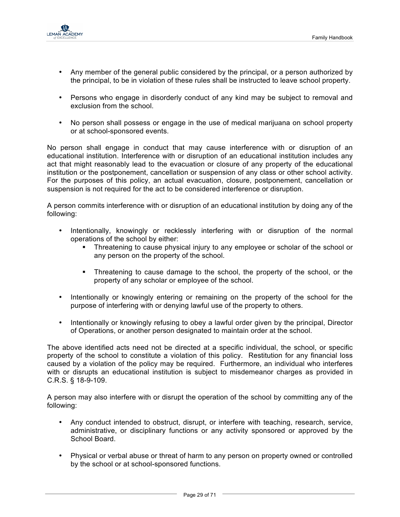

- Any member of the general public considered by the principal, or a person authorized by the principal, to be in violation of these rules shall be instructed to leave school property.
- Persons who engage in disorderly conduct of any kind may be subject to removal and exclusion from the school.
- No person shall possess or engage in the use of medical marijuana on school property or at school-sponsored events.

No person shall engage in conduct that may cause interference with or disruption of an educational institution. Interference with or disruption of an educational institution includes any act that might reasonably lead to the evacuation or closure of any property of the educational institution or the postponement, cancellation or suspension of any class or other school activity. For the purposes of this policy, an actual evacuation, closure, postponement, cancellation or suspension is not required for the act to be considered interference or disruption.

A person commits interference with or disruption of an educational institution by doing any of the following:

- Intentionally, knowingly or recklessly interfering with or disruption of the normal operations of the school by either:
	- Threatening to cause physical injury to any employee or scholar of the school or any person on the property of the school.
	- § Threatening to cause damage to the school, the property of the school, or the property of any scholar or employee of the school.
- Intentionally or knowingly entering or remaining on the property of the school for the purpose of interfering with or denying lawful use of the property to others.
- Intentionally or knowingly refusing to obey a lawful order given by the principal, Director of Operations, or another person designated to maintain order at the school.

The above identified acts need not be directed at a specific individual, the school, or specific property of the school to constitute a violation of this policy. Restitution for any financial loss caused by a violation of the policy may be required. Furthermore, an individual who interferes with or disrupts an educational institution is subject to misdemeanor charges as provided in C.R.S. § 18-9-109.

A person may also interfere with or disrupt the operation of the school by committing any of the following:

- Any conduct intended to obstruct, disrupt, or interfere with teaching, research, service, administrative, or disciplinary functions or any activity sponsored or approved by the School Board.
- Physical or verbal abuse or threat of harm to any person on property owned or controlled by the school or at school-sponsored functions.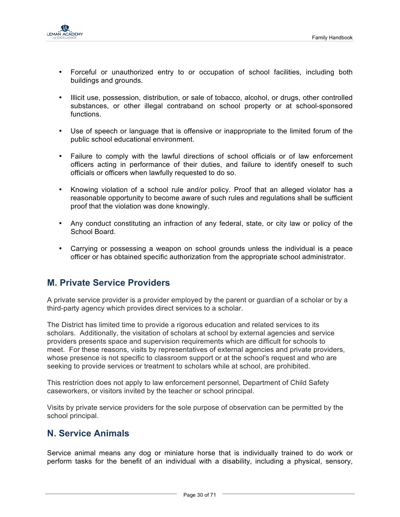

- Forceful or unauthorized entry to or occupation of school facilities, including both buildings and grounds.
- Illicit use, possession, distribution, or sale of tobacco, alcohol, or drugs, other controlled substances, or other illegal contraband on school property or at school-sponsored functions.
- Use of speech or language that is offensive or inappropriate to the limited forum of the public school educational environment.
- Failure to comply with the lawful directions of school officials or of law enforcement officers acting in performance of their duties, and failure to identify oneself to such officials or officers when lawfully requested to do so.
- Knowing violation of a school rule and/or policy. Proof that an alleged violator has a reasonable opportunity to become aware of such rules and regulations shall be sufficient proof that the violation was done knowingly.
- Any conduct constituting an infraction of any federal, state, or city law or policy of the School Board.
- Carrying or possessing a weapon on school grounds unless the individual is a peace officer or has obtained specific authorization from the appropriate school administrator.

### **M. Private Service Providers**

A private service provider is a provider employed by the parent or guardian of a scholar or by a third-party agency which provides direct services to a scholar.

The District has limited time to provide a rigorous education and related services to its scholars. Additionally, the visitation of scholars at school by external agencies and service providers presents space and supervision requirements which are difficult for schools to meet. For these reasons, visits by representatives of external agencies and private providers, whose presence is not specific to classroom support or at the school's request and who are seeking to provide services or treatment to scholars while at school, are prohibited.

This restriction does not apply to law enforcement personnel, Department of Child Safety caseworkers, or visitors invited by the teacher or school principal.

Visits by private service providers for the sole purpose of observation can be permitted by the school principal.

### **N. Service Animals**

Service animal means any dog or miniature horse that is individually trained to do work or perform tasks for the benefit of an individual with a disability, including a physical, sensory,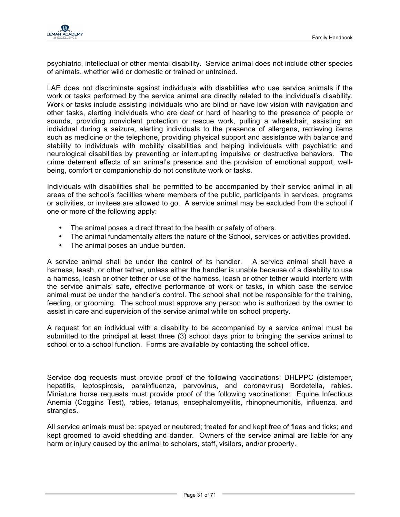

psychiatric, intellectual or other mental disability. Service animal does not include other species of animals, whether wild or domestic or trained or untrained.

LAE does not discriminate against individuals with disabilities who use service animals if the work or tasks performed by the service animal are directly related to the individual's disability. Work or tasks include assisting individuals who are blind or have low vision with navigation and other tasks, alerting individuals who are deaf or hard of hearing to the presence of people or sounds, providing nonviolent protection or rescue work, pulling a wheelchair, assisting an individual during a seizure, alerting individuals to the presence of allergens, retrieving items such as medicine or the telephone, providing physical support and assistance with balance and stability to individuals with mobility disabilities and helping individuals with psychiatric and neurological disabilities by preventing or interrupting impulsive or destructive behaviors. The crime deterrent effects of an animal's presence and the provision of emotional support, wellbeing, comfort or companionship do not constitute work or tasks.

Individuals with disabilities shall be permitted to be accompanied by their service animal in all areas of the school's facilities where members of the public, participants in services, programs or activities, or invitees are allowed to go. A service animal may be excluded from the school if one or more of the following apply:

- The animal poses a direct threat to the health or safety of others.
- The animal fundamentally alters the nature of the School, services or activities provided.
- The animal poses an undue burden.

A service animal shall be under the control of its handler. A service animal shall have a harness, leash, or other tether, unless either the handler is unable because of a disability to use a harness, leash or other tether or use of the harness, leash or other tether would interfere with the service animals' safe, effective performance of work or tasks, in which case the service animal must be under the handler's control. The school shall not be responsible for the training, feeding, or grooming. The school must approve any person who is authorized by the owner to assist in care and supervision of the service animal while on school property.

A request for an individual with a disability to be accompanied by a service animal must be submitted to the principal at least three (3) school days prior to bringing the service animal to school or to a school function. Forms are available by contacting the school office.

Service dog requests must provide proof of the following vaccinations: DHLPPC (distemper, hepatitis, leptospirosis, parainfluenza, parvovirus, and coronavirus) Bordetella, rabies. Miniature horse requests must provide proof of the following vaccinations: Equine Infectious Anemia (Coggins Test), rabies, tetanus, encephalomyelitis, rhinopneumonitis, influenza, and strangles.

All service animals must be: spayed or neutered; treated for and kept free of fleas and ticks; and kept groomed to avoid shedding and dander. Owners of the service animal are liable for any harm or injury caused by the animal to scholars, staff, visitors, and/or property.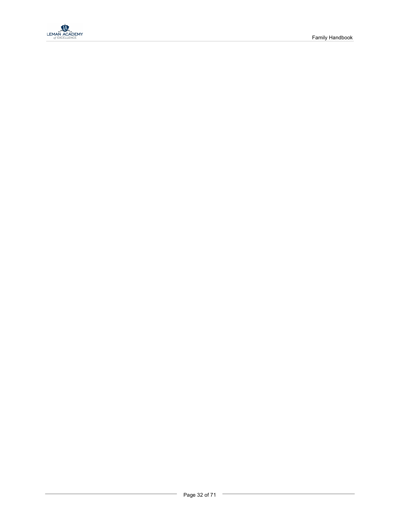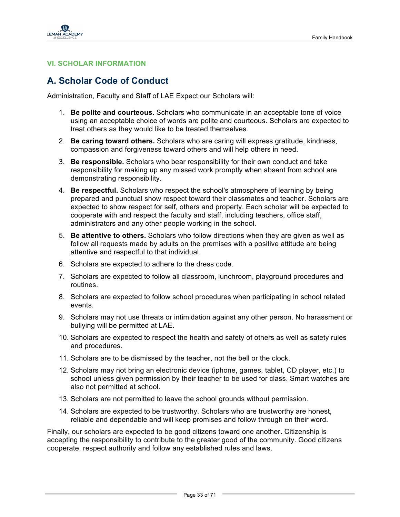

#### **VI. SCHOLAR INFORMATION**

### **A. Scholar Code of Conduct**

Administration, Faculty and Staff of LAE Expect our Scholars will:

- 1. **Be polite and courteous.** Scholars who communicate in an acceptable tone of voice using an acceptable choice of words are polite and courteous. Scholars are expected to treat others as they would like to be treated themselves.
- 2. **Be caring toward others.** Scholars who are caring will express gratitude, kindness, compassion and forgiveness toward others and will help others in need.
- 3. **Be responsible.** Scholars who bear responsibility for their own conduct and take responsibility for making up any missed work promptly when absent from school are demonstrating responsibility.
- 4. **Be respectful.** Scholars who respect the school's atmosphere of learning by being prepared and punctual show respect toward their classmates and teacher. Scholars are expected to show respect for self, others and property. Each scholar will be expected to cooperate with and respect the faculty and staff, including teachers, office staff, administrators and any other people working in the school.
- 5. **Be attentive to others.** Scholars who follow directions when they are given as well as follow all requests made by adults on the premises with a positive attitude are being attentive and respectful to that individual.
- 6. Scholars are expected to adhere to the dress code.
- 7. Scholars are expected to follow all classroom, lunchroom, playground procedures and routines.
- 8. Scholars are expected to follow school procedures when participating in school related events.
- 9. Scholars may not use threats or intimidation against any other person. No harassment or bullying will be permitted at LAE.
- 10. Scholars are expected to respect the health and safety of others as well as safety rules and procedures.
- 11. Scholars are to be dismissed by the teacher, not the bell or the clock.
- 12. Scholars may not bring an electronic device (iphone, games, tablet, CD player, etc.) to school unless given permission by their teacher to be used for class. Smart watches are also not permitted at school.
- 13. Scholars are not permitted to leave the school grounds without permission.
- 14. Scholars are expected to be trustworthy. Scholars who are trustworthy are honest, reliable and dependable and will keep promises and follow through on their word.

Finally, our scholars are expected to be good citizens toward one another. Citizenship is accepting the responsibility to contribute to the greater good of the community. Good citizens cooperate, respect authority and follow any established rules and laws.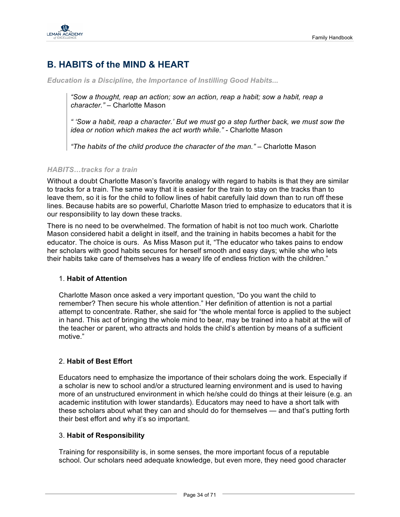

# **B. HABITS of the MIND & HEART**

*Education is a Discipline, the Importance of Instilling Good Habits...* 

*"Sow a thought, reap an action; sow an action, reap a habit; sow a habit, reap a character."* – Charlotte Mason

*" 'Sow a habit, reap a character.' But we must go a step further back, we must sow the idea or notion which makes the act worth while." -* Charlotte Mason

*"The habits of the child produce the character of the man."* – Charlotte Mason

#### *HABITS…tracks for a train*

Without a doubt Charlotte Mason's favorite analogy with regard to habits is that they are similar to tracks for a train. The same way that it is easier for the train to stay on the tracks than to leave them, so it is for the child to follow lines of habit carefully laid down than to run off these lines. Because habits are so powerful, Charlotte Mason tried to emphasize to educators that it is our responsibility to lay down these tracks.

There is no need to be overwhelmed. The formation of habit is not too much work. Charlotte Mason considered habit a delight in itself, and the training in habits becomes a habit for the educator. The choice is ours. As Miss Mason put it, "The educator who takes pains to endow her scholars with good habits secures for herself smooth and easy days; while she who lets their habits take care of themselves has a weary life of endless friction with the children."

#### 1. **Habit of Attention**

Charlotte Mason once asked a very important question, "Do you want the child to remember? Then secure his whole attention." Her definition of attention is not a partial attempt to concentrate. Rather, she said for "the whole mental force is applied to the subject in hand. This act of bringing the whole mind to bear, may be trained into a habit at the will of the teacher or parent, who attracts and holds the child's attention by means of a sufficient motive."

#### 2. **Habit of Best Effort**

Educators need to emphasize the importance of their scholars doing the work. Especially if a scholar is new to school and/or a structured learning environment and is used to having more of an unstructured environment in which he/she could do things at their leisure (e.g. an academic institution with lower standards). Educators may need to have a short talk with these scholars about what they can and should do for themselves — and that's putting forth their best effort and why it's so important.

#### 3. **Habit of Responsibility**

Training for responsibility is, in some senses, the more important focus of a reputable school. Our scholars need adequate knowledge, but even more, they need good character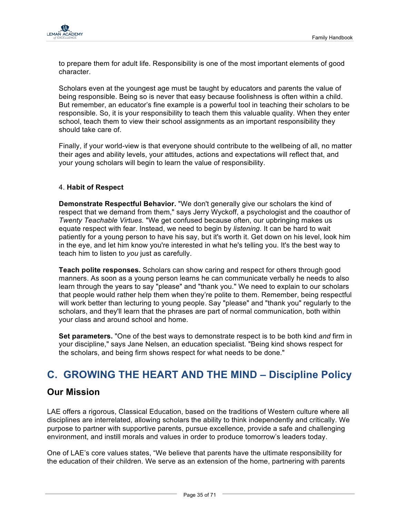

to prepare them for adult life. Responsibility is one of the most important elements of good character.

Scholars even at the youngest age must be taught by educators and parents the value of being responsible. Being so is never that easy because foolishness is often within a child. But remember, an educator's fine example is a powerful tool in teaching their scholars to be responsible. So, it is your responsibility to teach them this valuable quality. When they enter school, teach them to view their school assignments as an important responsibility they should take care of.

Finally, if your world-view is that everyone should contribute to the wellbeing of all, no matter their ages and ability levels, your attitudes, actions and expectations will reflect that, and your young scholars will begin to learn the value of responsibility.

#### 4. **Habit of Respect**

**Demonstrate Respectful Behavior.** "We don't generally give our scholars the kind of respect that we demand from them," says Jerry Wyckoff, a psychologist and the coauthor of *Twenty Teachable Virtues.* "We get confused because often, our upbringing makes us equate respect with fear. Instead, we need to begin by *listening.* It can be hard to wait patiently for a young person to have his say, but it's worth it. Get down on his level, look him in the eye, and let him know you're interested in what he's telling you. It's the best way to teach him to listen to *you* just as carefully.

**Teach polite responses.** Scholars can show caring and respect for others through good manners. As soon as a young person learns he can communicate verbally he needs to also learn through the years to say "please" and "thank you." We need to explain to our scholars that people would rather help them when they're polite to them. Remember, being respectful will work better than lecturing to young people. Say "please" and "thank you" regularly to the scholars, and they'll learn that the phrases are part of normal communication, both within your class and around school and home.

**Set parameters.** "One of the best ways to demonstrate respect is to be both kind *and* firm in your discipline," says Jane Nelsen, an education specialist. "Being kind shows respect for the scholars, and being firm shows respect for what needs to be done."

# **C. GROWING THE HEART AND THE MIND – Discipline Policy**

### **Our Mission**

LAE offers a rigorous, Classical Education, based on the traditions of Western culture where all disciplines are interrelated, allowing scholars the ability to think independently and critically. We purpose to partner with supportive parents, pursue excellence, provide a safe and challenging environment, and instill morals and values in order to produce tomorrow's leaders today.

One of LAE's core values states, "We believe that parents have the ultimate responsibility for the education of their children. We serve as an extension of the home, partnering with parents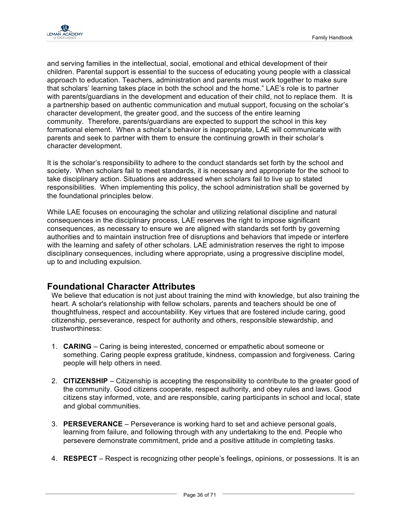

and serving families in the intellectual, social, emotional and ethical development of their children. Parental support is essential to the success of educating young people with a classical approach to education. Teachers, administration and parents must work together to make sure that scholars' learning takes place in both the school and the home." LAE's role is to partner with parents/guardians in the development and education of their child, not to replace them. It is a partnership based on authentic communication and mutual support, focusing on the scholar's character development, the greater good, and the success of the entire learning community. Therefore, parents/guardians are expected to support the school in this key formational element. When a scholar's behavior is inappropriate, LAE will communicate with parents and seek to partner with them to ensure the continuing growth in their scholar's character development.

It is the scholar's responsibility to adhere to the conduct standards set forth by the school and society. When scholars fail to meet standards, it is necessary and appropriate for the school to take disciplinary action. Situations are addressed when scholars fail to live up to stated responsibilities. When implementing this policy, the school administration shall be governed by the foundational principles below.

While LAE focuses on encouraging the scholar and utilizing relational discipline and natural consequences in the disciplinary process, LAE reserves the right to impose significant consequences, as necessary to ensure we are aligned with standards set forth by governing authorities and to maintain instruction free of disruptions and behaviors that impede or interfere with the learning and safety of other scholars. LAE administration reserves the right to impose disciplinary consequences, including where appropriate, using a progressive discipline model, up to and including expulsion.

### **Foundational Character Attributes**

We believe that education is not just about training the mind with knowledge, but also training the heart. A scholar's relationship with fellow scholars, parents and teachers should be one of thoughtfulness, respect and accountability. Key virtues that are fostered include caring, good citizenship, perseverance, respect for authority and others, responsible stewardship, and trustworthiness:

- 1. **CARING** Caring is being interested, concerned or empathetic about someone or something. Caring people express gratitude, kindness, compassion and forgiveness. Caring people will help others in need.
- 2. **CITIZENSHIP** Citizenship is accepting the responsibility to contribute to the greater good of the community. Good citizens cooperate, respect authority, and obey rules and laws. Good citizens stay informed, vote, and are responsible, caring participants in school and local, state and global communities.
- 3. **PERSEVERANCE** Perseverance is working hard to set and achieve personal goals, learning from failure, and following through with any undertaking to the end. People who persevere demonstrate commitment, pride and a positive attitude in completing tasks.
- 4. **RESPECT** Respect is recognizing other people's feelings, opinions, or possessions. It is an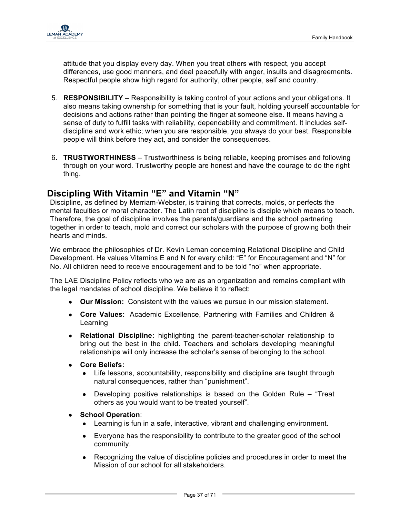

attitude that you display every day. When you treat others with respect, you accept differences, use good manners, and deal peacefully with anger, insults and disagreements. Respectful people show high regard for authority, other people, self and country.

- 5. **RESPONSIBILITY** Responsibility is taking control of your actions and your obligations. It also means taking ownership for something that is your fault, holding yourself accountable for decisions and actions rather than pointing the finger at someone else. It means having a sense of duty to fulfill tasks with reliability, dependability and commitment. It includes selfdiscipline and work ethic; when you are responsible, you always do your best. Responsible people will think before they act, and consider the consequences.
- 6. **TRUSTWORTHINESS** Trustworthiness is being reliable, keeping promises and following through on your word. Trustworthy people are honest and have the courage to do the right thing.

### **Discipling With Vitamin "E" and Vitamin "N"**

Discipline, as defined by Merriam-Webster, is training that corrects, molds, or perfects the mental faculties or moral character. The Latin root of discipline is disciple which means to teach. Therefore, the goal of discipline involves the parents/guardians and the school partnering together in order to teach, mold and correct our scholars with the purpose of growing both their hearts and minds.

We embrace the philosophies of Dr. Kevin Leman concerning Relational Discipline and Child Development. He values Vitamins E and N for every child: "E" for Encouragement and "N" for No. All children need to receive encouragement and to be told "no" when appropriate.

The LAE Discipline Policy reflects who we are as an organization and remains compliant with the legal mandates of school discipline. We believe it to reflect:

- **Our Mission:** Consistent with the values we pursue in our mission statement.
- **Core Values:** Academic Excellence, Partnering with Families and Children & Learning
- **Relational Discipline:** highlighting the parent-teacher-scholar relationship to bring out the best in the child. Teachers and scholars developing meaningful relationships will only increase the scholar's sense of belonging to the school.
- **Core Beliefs:** 
	- Life lessons, accountability, responsibility and discipline are taught through natural consequences, rather than "punishment".
	- Developing positive relationships is based on the Golden Rule "Treat" others as you would want to be treated yourself".
- **School Operation**:
	- Learning is fun in a safe, interactive, vibrant and challenging environment.
	- Everyone has the responsibility to contribute to the greater good of the school community.
	- Recognizing the value of discipline policies and procedures in order to meet the Mission of our school for all stakeholders.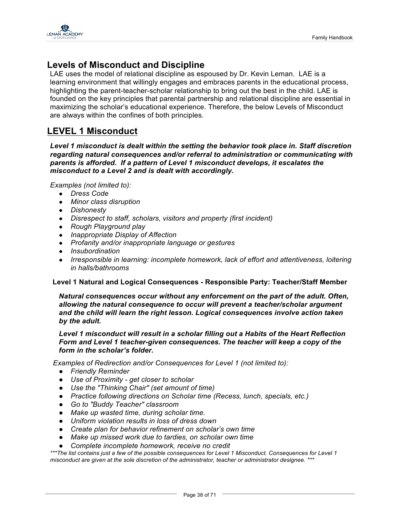

### **Levels of Misconduct and Discipline**

LAE uses the model of relational discipline as espoused by Dr. Kevin Leman. LAE is a learning environment that willingly engages and embraces parents in the educational process, highlighting the parent-teacher-scholar relationship to bring out the best in the child. LAE is founded on the key principles that parental partnership and relational discipline are essential in maximizing the scholar's educational experience. Therefore, the below Levels of Misconduct are always within the confines of both principles.

### **LEVEL 1 Misconduct**

*Level 1 misconduct is dealt within the setting the behavior took place in. Staff discretion regarding natural consequences and/or referral to administration or communicating with parents is afforded. If a pattern of Level 1 misconduct develops, it escalates the misconduct to a Level 2 and is dealt with accordingly.*

*Examples (not limited to):*

- *Dress Code*
- *Minor class disruption*
- *Dishonesty*
- *Disrespect to staff, scholars, visitors and property (first incident)*
- *Rough Playground play*
- *Inappropriate Display of Affection*
- *Profanity and/or inappropriate language or gestures*
- *Insubordination*
- *Irresponsible in learning: incomplete homework, lack of effort and attentiveness, loitering in halls/bathrooms*

**Level 1 Natural and Logical Consequences - Responsible Party: Teacher/Staff Member**

*Natural consequences occur without any enforcement on the part of the adult. Often, allowing the natural consequence to occur will prevent a teacher/scholar argument and the child will learn the right lesson. Logical consequences involve action taken by the adult.*

*Level 1 misconduct will result in a scholar filling out a Habits of the Heart Reflection Form and Level 1 teacher-given consequences. The teacher will keep a copy of the form in the scholar's folder.*

*Examples of Redirection and/or Consequences for Level 1 (not limited to):*

- *Friendly Reminder*
- *Use of Proximity - get closer to scholar*
- *Use the "Thinking Chair" (set amount of time)*
- *Practice following directions on Scholar time (Recess, lunch, specials, etc.)*
- *Go to "Buddy Teacher" classroom*
- *Make up wasted time, during scholar time.*
- *Uniform violation results in loss of dress down*
- *Create plan for behavior refinement on scholar's own time*
- *Make up missed work due to tardies, on scholar own time*
- *Complete incomplete homework, receive no credit*

*\*\*\*The list contains just a few of the possible consequences for Level 1 Misconduct. Consequences for Level 1 misconduct are given at the sole discretion of the administrator, teacher or administrator designee. \*\*\**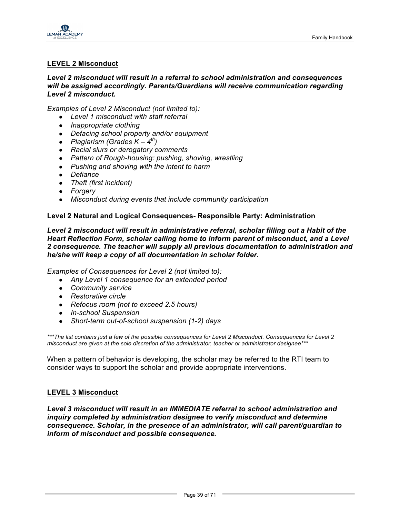

#### **LEVEL 2 Misconduct**

#### *Level 2 misconduct will result in a referral to school administration and consequences will be assigned accordingly. Parents/Guardians will receive communication regarding Level 2 misconduct.*

*Examples of Level 2 Misconduct (not limited to):*

- *Level 1 misconduct with staff referral*
- *Inappropriate clothing*
- *Defacing school property and/or equipment*
- *Plagiarism (Grades K – 4th)*
- *Racial slurs or derogatory comments*
- *Pattern of Rough-housing: pushing, shoving, wrestling*
- *Pushing and shoving with the intent to harm*
- *Defiance*
- *Theft (first incident)*
- *Forgery*
- *Misconduct during events that include community participation*

#### **Level 2 Natural and Logical Consequences- Responsible Party: Administration**

*Level 2 misconduct will result in administrative referral, scholar filling out a Habit of the Heart Reflection Form, scholar calling home to inform parent of misconduct, and a Level 2 consequence. The teacher will supply all previous documentation to administration and he/she will keep a copy of all documentation in scholar folder.* 

*Examples of Consequences for Level 2 (not limited to):*

- *Any Level 1 consequence for an extended period*
- *Community service*
- *Restorative circle*
- *Refocus room (not to exceed 2.5 hours)*
- *In-school Suspension*
- *Short-term out-of-school suspension (1-2) days*

*\*\*\*The list contains just a few of the possible consequences for Level 2 Misconduct. Consequences for Level 2 misconduct are given at the sole discretion of the administrator, teacher or administrator designee\*\*\**

When a pattern of behavior is developing, the scholar may be referred to the RTI team to consider ways to support the scholar and provide appropriate interventions.

#### **LEVEL 3 Misconduct**

*Level 3 misconduct will result in an IMMEDIATE referral to school administration and inquiry completed by administration designee to verify misconduct and determine consequence. Scholar, in the presence of an administrator, will call parent/guardian to inform of misconduct and possible consequence.*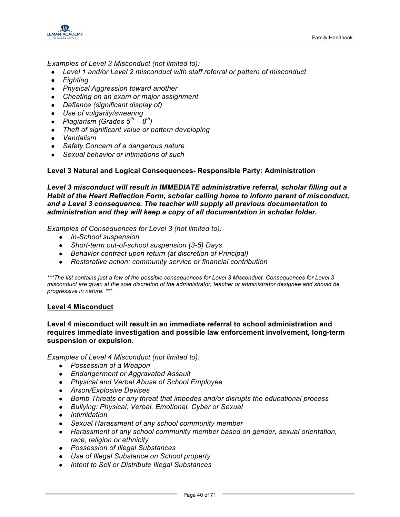

*Examples of Level 3 Misconduct (not limited to):*

- *Level 1 and/or Level 2 misconduct with staff referral or pattern of misconduct*
- *Fighting*
- *Physical Aggression toward another*
- *Cheating on an exam or major assignment*
- *Defiance (significant display of)*
- *Use of vulgarity/swearing*
- *Plagiarism (Grades 5th – 8th)*
- *Theft of significant value or pattern developing*
- *Vandalism*
- *Safety Concern of a dangerous nature*
- *Sexual behavior or intimations of such*

**Level 3 Natural and Logical Consequences- Responsible Party: Administration**

*Level 3 misconduct will result in IMMEDIATE administrative referral, scholar filling out a Habit of the Heart Reflection Form, scholar calling home to inform parent of misconduct, and a Level 3 consequence. The teacher will supply all previous documentation to administration and they will keep a copy of all documentation in scholar folder.* 

*Examples of Consequences for Level 3 (not limited to):*

- *In-School suspension*
- *Short-term out-of-school suspension (3-5) Days*
- *Behavior contract upon return (at discretion of Principal)*
- *Restorative action: community service or financial contribution*

*\*\*\*The list contains just a few of the possible consequences for Level 3 Misconduct. Consequences for Level 3 misconduct are given at the sole discretion of the administrator, teacher or administrator designee and should be progressive in nature. \*\*\**

#### **Level 4 Misconduct**

**Level 4 misconduct will result in an immediate referral to school administration and requires immediate investigation and possible law enforcement involvement, long-term suspension or expulsion.**

*Examples of Level 4 Misconduct (not limited to):*

- *Possession of a Weapon*
- *Endangerment or Aggravated Assault*
- *Physical and Verbal Abuse of School Employee*
- *Arson/Explosive Devices*
- *Bomb Threats or any threat that impedes and/or disrupts the educational process*
- *Bullying: Physical, Verbal, Emotional, Cyber or Sexual*
- *Intimidation*
- *Sexual Harassment of any school community member*
- *Harassment of any school community member based on gender, sexual orientation, race, religion or ethnicity*
- *Possession of Illegal Substances*
- *Use of Illegal Substance on School property*
- *Intent to Sell or Distribute Illegal Substances*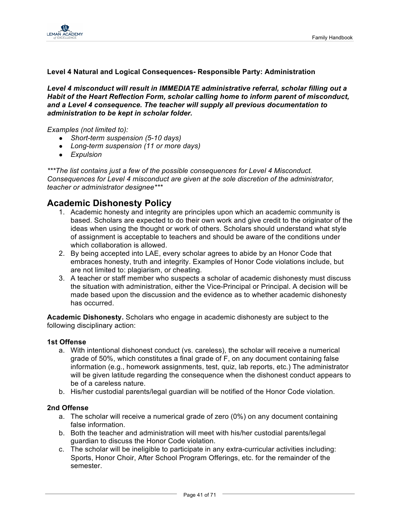

**Level 4 Natural and Logical Consequences- Responsible Party: Administration**

*Level 4 misconduct will result in IMMEDIATE administrative referral, scholar filling out a Habit of the Heart Reflection Form, scholar calling home to inform parent of misconduct, and a Level 4 consequence. The teacher will supply all previous documentation to administration to be kept in scholar folder.* 

*Examples (not limited to):*

- *Short-term suspension (5-10 days)*
- *Long-term suspension (11 or more days)*
- *Expulsion*

*\*\*\*The list contains just a few of the possible consequences for Level 4 Misconduct. Consequences for Level 4 misconduct are given at the sole discretion of the administrator, teacher or administrator designee\*\*\**

### **Academic Dishonesty Policy**

- 1. Academic honesty and integrity are principles upon which an academic community is based. Scholars are expected to do their own work and give credit to the originator of the ideas when using the thought or work of others. Scholars should understand what style of assignment is acceptable to teachers and should be aware of the conditions under which collaboration is allowed.
- 2. By being accepted into LAE, every scholar agrees to abide by an Honor Code that embraces honesty, truth and integrity. Examples of Honor Code violations include, but are not limited to: plagiarism, or cheating.
- 3. A teacher or staff member who suspects a scholar of academic dishonesty must discuss the situation with administration, either the Vice-Principal or Principal. A decision will be made based upon the discussion and the evidence as to whether academic dishonesty has occurred.

**Academic Dishonesty.** Scholars who engage in academic dishonesty are subject to the following disciplinary action:

#### **1st Offense**

- a. With intentional dishonest conduct (vs. careless), the scholar will receive a numerical grade of 50%, which constitutes a final grade of F, on any document containing false information (e.g., homework assignments, test, quiz, lab reports, etc.) The administrator will be given latitude regarding the consequence when the dishonest conduct appears to be of a careless nature.
- b. His/her custodial parents/legal guardian will be notified of the Honor Code violation.

#### **2nd Offense**

- a. The scholar will receive a numerical grade of zero (0%) on any document containing false information.
- b. Both the teacher and administration will meet with his/her custodial parents/legal guardian to discuss the Honor Code violation.
- c. The scholar will be ineligible to participate in any extra-curricular activities including: Sports, Honor Choir, After School Program Offerings, etc. for the remainder of the semester.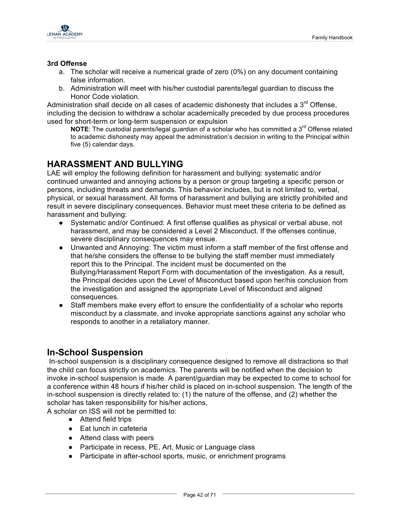

#### **3rd Offense**

- a. The scholar will receive a numerical grade of zero (0%) on any document containing false information.
- b. Administration will meet with his/her custodial parents/legal guardian to discuss the Honor Code violation.

Administration shall decide on all cases of academic dishonesty that includes a  $3<sup>rd</sup>$  Offense, including the decision to withdraw a scholar academically preceded by due process procedures used for short-term or long-term suspension or expulsion

**NOTE:** The custodial parents/legal quardian of a scholar who has committed a 3<sup>rd</sup> Offense related to academic dishonesty may appeal the administration's decision in writing to the Principal within five (5) calendar days.

### **HARASSMENT AND BULLYING**

LAE will employ the following definition for harassment and bullying: systematic and/or continued unwanted and annoying actions by a person or group targeting a specific person or persons, including threats and demands. This behavior includes, but is not limited to, verbal, physical, or sexual harassment. All forms of harassment and bullying are strictly prohibited and result in severe disciplinary consequences. Behavior must meet these criteria to be defined as harassment and bullying:

- Systematic and/or Continued: A first offense qualifies as physical or verbal abuse, not harassment, and may be considered a Level 2 Misconduct. If the offenses continue, severe disciplinary consequences may ensue.
- Unwanted and Annoying: The victim must inform a staff member of the first offense and that he/she considers the offense to be bullying the staff member must immediately report this to the Principal. The incident must be documented on the Bullying/Harassment Report Form with documentation of the investigation. As a result, the Principal decides upon the Level of Misconduct based upon her/his conclusion from the investigation and assigned the appropriate Level of Misconduct and aligned consequences.
- Staff members make every effort to ensure the confidentiality of a scholar who reports misconduct by a classmate, and invoke appropriate sanctions against any scholar who responds to another in a retaliatory manner.

### **In-School Suspension**

In-school suspension is a disciplinary consequence designed to remove all distractions so that the child can focus strictly on academics. The parents will be notified when the decision to invoke in-school suspension is made. A parent/guardian may be expected to come to school for a conference within 48 hours if his/her child is placed on in-school suspension. The length of the in-school suspension is directly related to: (1) the nature of the offense, and (2) whether the scholar has taken responsibility for his/her actions,

A scholar on ISS will not be permitted to:

- Attend field trips
- Eat lunch in cafeteria
- Attend class with peers
- Participate in recess, PE, Art, Music or Language class
- Participate in after-school sports, music, or enrichment programs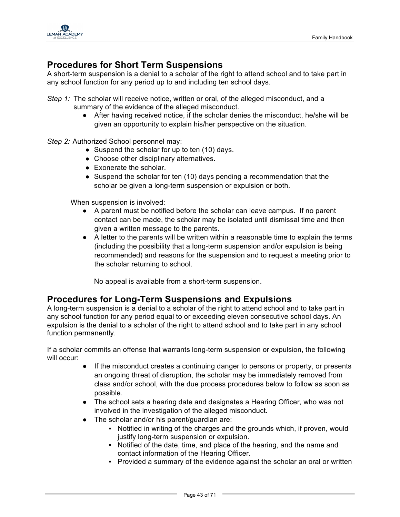

### **Procedures for Short Term Suspensions**

A short-term suspension is a denial to a scholar of the right to attend school and to take part in any school function for any period up to and including ten school days.

- *Step 1:* The scholar will receive notice, written or oral, of the alleged misconduct, and a summary of the evidence of the alleged misconduct.
	- After having received notice, if the scholar denies the misconduct, he/she will be given an opportunity to explain his/her perspective on the situation.

*Step 2:* Authorized School personnel may:

- Suspend the scholar for up to ten (10) days.
- Choose other disciplinary alternatives.
- Exonerate the scholar.
- Suspend the scholar for ten (10) days pending a recommendation that the scholar be given a long-term suspension or expulsion or both.

When suspension is involved:

- A parent must be notified before the scholar can leave campus. If no parent contact can be made, the scholar may be isolated until dismissal time and then given a written message to the parents.
- A letter to the parents will be written within a reasonable time to explain the terms (including the possibility that a long-term suspension and/or expulsion is being recommended) and reasons for the suspension and to request a meeting prior to the scholar returning to school.

No appeal is available from a short-term suspension.

### **Procedures for Long-Term Suspensions and Expulsions**

A long-term suspension is a denial to a scholar of the right to attend school and to take part in any school function for any period equal to or exceeding eleven consecutive school days. An expulsion is the denial to a scholar of the right to attend school and to take part in any school function permanently.

If a scholar commits an offense that warrants long-term suspension or expulsion, the following will occur:

- If the misconduct creates a continuing danger to persons or property, or presents an ongoing threat of disruption, the scholar may be immediately removed from class and/or school, with the due process procedures below to follow as soon as possible.
- The school sets a hearing date and designates a Hearing Officer, who was not involved in the investigation of the alleged misconduct.
- The scholar and/or his parent/guardian are:
	- Notified in writing of the charges and the grounds which, if proven, would justify long-term suspension or expulsion.
	- Notified of the date, time, and place of the hearing, and the name and contact information of the Hearing Officer.
	- Provided a summary of the evidence against the scholar an oral or written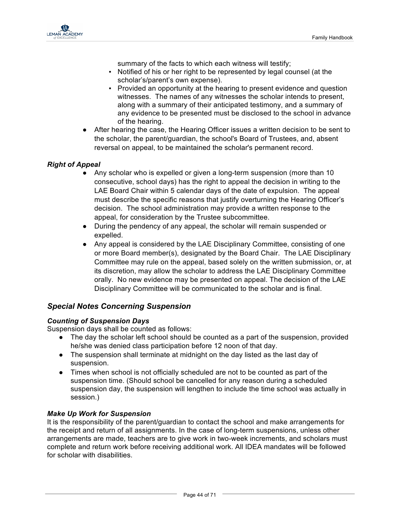

summary of the facts to which each witness will testify;

- Notified of his or her right to be represented by legal counsel (at the scholar's/parent's own expense).
- Provided an opportunity at the hearing to present evidence and question witnesses. The names of any witnesses the scholar intends to present, along with a summary of their anticipated testimony, and a summary of any evidence to be presented must be disclosed to the school in advance of the hearing.
- After hearing the case, the Hearing Officer issues a written decision to be sent to the scholar, the parent/guardian, the school's Board of Trustees, and, absent reversal on appeal, to be maintained the scholar's permanent record.

#### *Right of Appeal*

- Any scholar who is expelled or given a long-term suspension (more than 10 consecutive, school days) has the right to appeal the decision in writing to the LAE Board Chair within 5 calendar days of the date of expulsion. The appeal must describe the specific reasons that justify overturning the Hearing Officer's decision. The school administration may provide a written response to the appeal, for consideration by the Trustee subcommittee.
- During the pendency of any appeal, the scholar will remain suspended or expelled.
- Any appeal is considered by the LAE Disciplinary Committee, consisting of one or more Board member(s), designated by the Board Chair. The LAE Disciplinary Committee may rule on the appeal, based solely on the written submission, or, at its discretion, may allow the scholar to address the LAE Disciplinary Committee orally. No new evidence may be presented on appeal. The decision of the LAE Disciplinary Committee will be communicated to the scholar and is final.

### *Special Notes Concerning Suspension*

#### *Counting of Suspension Days*

Suspension days shall be counted as follows:

- The day the scholar left school should be counted as a part of the suspension, provided he/she was denied class participation before 12 noon of that day.
- The suspension shall terminate at midnight on the day listed as the last day of suspension.
- Times when school is not officially scheduled are not to be counted as part of the suspension time. (Should school be cancelled for any reason during a scheduled suspension day, the suspension will lengthen to include the time school was actually in session.)

#### *Make Up Work for Suspension*

It is the responsibility of the parent/guardian to contact the school and make arrangements for the receipt and return of all assignments. In the case of long-term suspensions, unless other arrangements are made, teachers are to give work in two-week increments, and scholars must complete and return work before receiving additional work. All IDEA mandates will be followed for scholar with disabilities.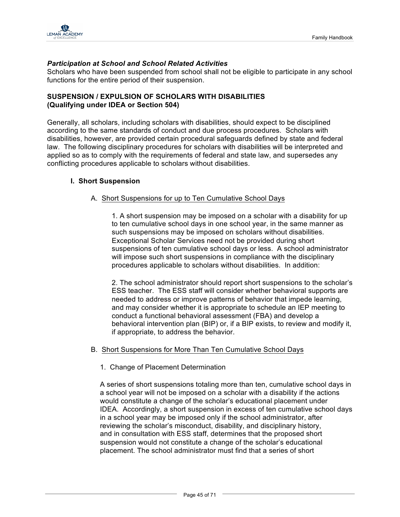

#### *Participation at School and School Related Activities*

Scholars who have been suspended from school shall not be eligible to participate in any school functions for the entire period of their suspension.

#### **SUSPENSION / EXPULSION OF SCHOLARS WITH DISABILITIES (Qualifying under IDEA or Section 504)**

Generally, all scholars, including scholars with disabilities, should expect to be disciplined according to the same standards of conduct and due process procedures. Scholars with disabilities, however, are provided certain procedural safeguards defined by state and federal law. The following disciplinary procedures for scholars with disabilities will be interpreted and applied so as to comply with the requirements of federal and state law, and supersedes any conflicting procedures applicable to scholars without disabilities.

#### **I. Short Suspension**

#### A. Short Suspensions for up to Ten Cumulative School Days

1. A short suspension may be imposed on a scholar with a disability for up to ten cumulative school days in one school year, in the same manner as such suspensions may be imposed on scholars without disabilities. Exceptional Scholar Services need not be provided during short suspensions of ten cumulative school days or less. A school administrator will impose such short suspensions in compliance with the disciplinary procedures applicable to scholars without disabilities. In addition:

2. The school administrator should report short suspensions to the scholar's ESS teacher. The ESS staff will consider whether behavioral supports are needed to address or improve patterns of behavior that impede learning, and may consider whether it is appropriate to schedule an IEP meeting to conduct a functional behavioral assessment (FBA) and develop a behavioral intervention plan (BIP) or, if a BIP exists, to review and modify it, if appropriate, to address the behavior.

#### B. Short Suspensions for More Than Ten Cumulative School Days

1. Change of Placement Determination

A series of short suspensions totaling more than ten, cumulative school days in a school year will not be imposed on a scholar with a disability if the actions would constitute a change of the scholar's educational placement under IDEA. Accordingly, a short suspension in excess of ten cumulative school days in a school year may be imposed only if the school administrator, after reviewing the scholar's misconduct, disability, and disciplinary history, and in consultation with ESS staff, determines that the proposed short suspension would not constitute a change of the scholar's educational placement. The school administrator must find that a series of short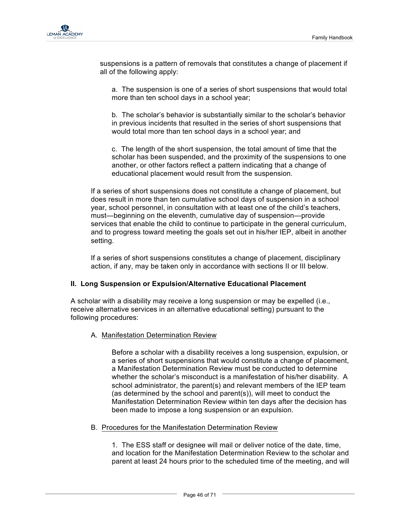

suspensions is a pattern of removals that constitutes a change of placement if all of the following apply:

a. The suspension is one of a series of short suspensions that would total more than ten school days in a school year;

b. The scholar's behavior is substantially similar to the scholar's behavior in previous incidents that resulted in the series of short suspensions that would total more than ten school days in a school year; and

c. The length of the short suspension, the total amount of time that the scholar has been suspended, and the proximity of the suspensions to one another, or other factors reflect a pattern indicating that a change of educational placement would result from the suspension.

If a series of short suspensions does not constitute a change of placement, but does result in more than ten cumulative school days of suspension in a school year, school personnel, in consultation with at least one of the child's teachers, must—beginning on the eleventh, cumulative day of suspension—provide services that enable the child to continue to participate in the general curriculum, and to progress toward meeting the goals set out in his/her IEP, albeit in another setting.

If a series of short suspensions constitutes a change of placement, disciplinary action, if any, may be taken only in accordance with sections II or III below.

#### **II. Long Suspension or Expulsion/Alternative Educational Placement**

A scholar with a disability may receive a long suspension or may be expelled (i.e., receive alternative services in an alternative educational setting) pursuant to the following procedures:

#### A. Manifestation Determination Review

Before a scholar with a disability receives a long suspension, expulsion, or a series of short suspensions that would constitute a change of placement, a Manifestation Determination Review must be conducted to determine whether the scholar's misconduct is a manifestation of his/her disability. A school administrator, the parent(s) and relevant members of the IEP team (as determined by the school and parent(s)), will meet to conduct the Manifestation Determination Review within ten days after the decision has been made to impose a long suspension or an expulsion.

B. Procedures for the Manifestation Determination Review

1. The ESS staff or designee will mail or deliver notice of the date, time, and location for the Manifestation Determination Review to the scholar and parent at least 24 hours prior to the scheduled time of the meeting, and will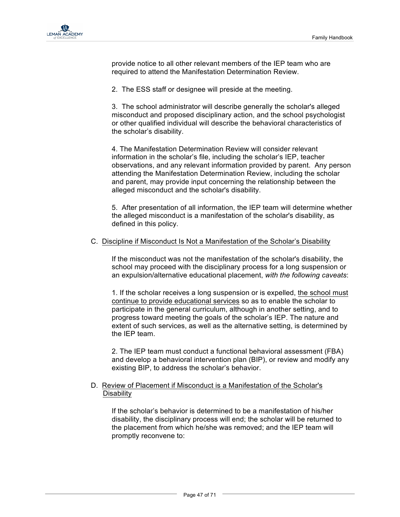

provide notice to all other relevant members of the IEP team who are required to attend the Manifestation Determination Review.

2. The ESS staff or designee will preside at the meeting.

3. The school administrator will describe generally the scholar's alleged misconduct and proposed disciplinary action, and the school psychologist or other qualified individual will describe the behavioral characteristics of the scholar's disability.

4. The Manifestation Determination Review will consider relevant information in the scholar's file, including the scholar's IEP, teacher observations, and any relevant information provided by parent. Any person attending the Manifestation Determination Review, including the scholar and parent, may provide input concerning the relationship between the alleged misconduct and the scholar's disability.

5. After presentation of all information, the IEP team will determine whether the alleged misconduct is a manifestation of the scholar's disability, as defined in this policy.

#### C. Discipline if Misconduct Is Not a Manifestation of the Scholar's Disability

If the misconduct was not the manifestation of the scholar's disability, the school may proceed with the disciplinary process for a long suspension or an expulsion/alternative educational placement, *with the following caveats*:

1. If the scholar receives a long suspension or is expelled, the school must continue to provide educational services so as to enable the scholar to participate in the general curriculum, although in another setting, and to progress toward meeting the goals of the scholar's IEP. The nature and extent of such services, as well as the alternative setting, is determined by the IEP team.

2. The IEP team must conduct a functional behavioral assessment (FBA) and develop a behavioral intervention plan (BIP), or review and modify any existing BIP, to address the scholar's behavior.

#### D. Review of Placement if Misconduct is a Manifestation of the Scholar's **Disability**

If the scholar's behavior is determined to be a manifestation of his/her disability, the disciplinary process will end; the scholar will be returned to the placement from which he/she was removed; and the IEP team will promptly reconvene to: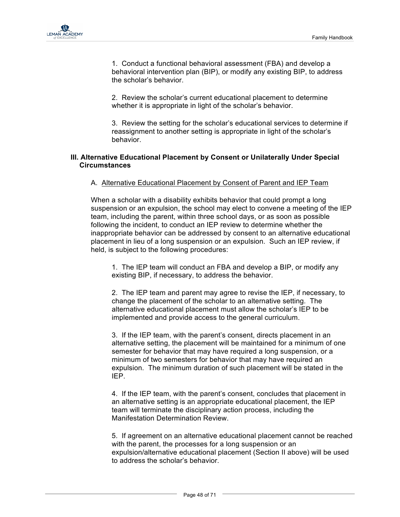1. Conduct a functional behavioral assessment (FBA) and develop a behavioral intervention plan (BIP), or modify any existing BIP, to address the scholar's behavior.

2. Review the scholar's current educational placement to determine whether it is appropriate in light of the scholar's behavior.

3. Review the setting for the scholar's educational services to determine if reassignment to another setting is appropriate in light of the scholar's behavior.

#### **III. Alternative Educational Placement by Consent or Unilaterally Under Special Circumstances**

#### A. Alternative Educational Placement by Consent of Parent and IEP Team

When a scholar with a disability exhibits behavior that could prompt a long suspension or an expulsion, the school may elect to convene a meeting of the IEP team, including the parent, within three school days, or as soon as possible following the incident, to conduct an IEP review to determine whether the inappropriate behavior can be addressed by consent to an alternative educational placement in lieu of a long suspension or an expulsion. Such an IEP review, if held, is subject to the following procedures:

1. The IEP team will conduct an FBA and develop a BIP, or modify any existing BIP, if necessary, to address the behavior.

2. The IEP team and parent may agree to revise the IEP, if necessary, to change the placement of the scholar to an alternative setting. The alternative educational placement must allow the scholar's IEP to be implemented and provide access to the general curriculum.

3. If the IEP team, with the parent's consent, directs placement in an alternative setting, the placement will be maintained for a minimum of one semester for behavior that may have required a long suspension, or a minimum of two semesters for behavior that may have required an expulsion. The minimum duration of such placement will be stated in the IEP.

4. If the IEP team, with the parent's consent, concludes that placement in an alternative setting is an appropriate educational placement, the IEP team will terminate the disciplinary action process, including the Manifestation Determination Review.

5. If agreement on an alternative educational placement cannot be reached with the parent, the processes for a long suspension or an expulsion/alternative educational placement (Section II above) will be used to address the scholar's behavior.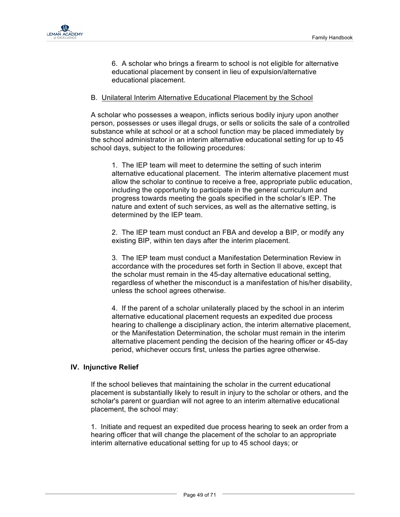

6. A scholar who brings a firearm to school is not eligible for alternative educational placement by consent in lieu of expulsion/alternative educational placement.

#### B. Unilateral Interim Alternative Educational Placement by the School

A scholar who possesses a weapon, inflicts serious bodily injury upon another person, possesses or uses illegal drugs, or sells or solicits the sale of a controlled substance while at school or at a school function may be placed immediately by the school administrator in an interim alternative educational setting for up to 45 school days, subject to the following procedures:

1. The IEP team will meet to determine the setting of such interim alternative educational placement. The interim alternative placement must allow the scholar to continue to receive a free, appropriate public education, including the opportunity to participate in the general curriculum and progress towards meeting the goals specified in the scholar's IEP. The nature and extent of such services, as well as the alternative setting, is determined by the IEP team.

2. The IEP team must conduct an FBA and develop a BIP, or modify any existing BIP, within ten days after the interim placement.

3. The IEP team must conduct a Manifestation Determination Review in accordance with the procedures set forth in Section II above, except that the scholar must remain in the 45-day alternative educational setting, regardless of whether the misconduct is a manifestation of his/her disability, unless the school agrees otherwise.

4. If the parent of a scholar unilaterally placed by the school in an interim alternative educational placement requests an expedited due process hearing to challenge a disciplinary action, the interim alternative placement, or the Manifestation Determination, the scholar must remain in the interim alternative placement pending the decision of the hearing officer or 45-day period, whichever occurs first, unless the parties agree otherwise.

#### **IV. Injunctive Relief**

If the school believes that maintaining the scholar in the current educational placement is substantially likely to result in injury to the scholar or others, and the scholar's parent or guardian will not agree to an interim alternative educational placement, the school may:

1. Initiate and request an expedited due process hearing to seek an order from a hearing officer that will change the placement of the scholar to an appropriate interim alternative educational setting for up to 45 school days; or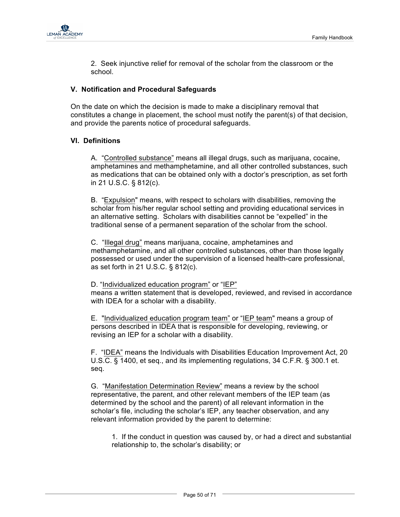

2. Seek injunctive relief for removal of the scholar from the classroom or the school.

#### **V. Notification and Procedural Safeguards**

On the date on which the decision is made to make a disciplinary removal that constitutes a change in placement, the school must notify the parent(s) of that decision, and provide the parents notice of procedural safeguards.

#### **VI. Definitions**

A. "Controlled substance" means all illegal drugs, such as marijuana, cocaine, amphetamines and methamphetamine, and all other controlled substances, such as medications that can be obtained only with a doctor's prescription, as set forth in 21 U.S.C. § 812(c).

B. "Expulsion" means, with respect to scholars with disabilities, removing the scholar from his/her regular school setting and providing educational services in an alternative setting. Scholars with disabilities cannot be "expelled" in the traditional sense of a permanent separation of the scholar from the school.

C. "Illegal drug" means marijuana, cocaine, amphetamines and methamphetamine, and all other controlled substances, other than those legally possessed or used under the supervision of a licensed health-care professional, as set forth in 21 U.S.C. § 812(c).

D. "Individualized education program" or "IEP" means a written statement that is developed, reviewed, and revised in accordance with IDEA for a scholar with a disability.

E. "Individualized education program team" or "IEP team" means a group of persons described in IDEA that is responsible for developing, reviewing, or revising an IEP for a scholar with a disability.

F. "IDEA" means the Individuals with Disabilities Education Improvement Act, 20 U.S.C. § 1400, et seq., and its implementing regulations, 34 C.F.R. § 300.1 et. seq.

G. "Manifestation Determination Review" means a review by the school representative, the parent, and other relevant members of the IEP team (as determined by the school and the parent) of all relevant information in the scholar's file, including the scholar's IEP, any teacher observation, and any relevant information provided by the parent to determine:

1. If the conduct in question was caused by, or had a direct and substantial relationship to, the scholar's disability; or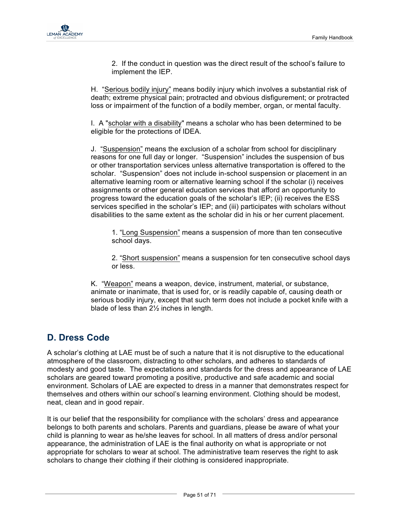2. If the conduct in question was the direct result of the school's failure to implement the IEP.

H. "Serious bodily injury" means bodily injury which involves a substantial risk of death; extreme physical pain; protracted and obvious disfigurement; or protracted loss or impairment of the function of a bodily member, organ, or mental faculty.

I. A "scholar with a disability" means a scholar who has been determined to be eligible for the protections of IDEA.

J. "Suspension" means the exclusion of a scholar from school for disciplinary reasons for one full day or longer. "Suspension" includes the suspension of bus or other transportation services unless alternative transportation is offered to the scholar. "Suspension" does not include in-school suspension or placement in an alternative learning room or alternative learning school if the scholar (i) receives assignments or other general education services that afford an opportunity to progress toward the education goals of the scholar's IEP; (ii) receives the ESS services specified in the scholar's IEP; and (iii) participates with scholars without disabilities to the same extent as the scholar did in his or her current placement.

1. "Long Suspension" means a suspension of more than ten consecutive school days.

2. "Short suspension" means a suspension for ten consecutive school days or less.

K. "Weapon" means a weapon, device, instrument, material, or substance, animate or inanimate, that is used for, or is readily capable of, causing death or serious bodily injury, except that such term does not include a pocket knife with a blade of less than 2½ inches in length.

# **D. Dress Code**

A scholar's clothing at LAE must be of such a nature that it is not disruptive to the educational atmosphere of the classroom, distracting to other scholars, and adheres to standards of modesty and good taste. The expectations and standards for the dress and appearance of LAE scholars are geared toward promoting a positive, productive and safe academic and social environment. Scholars of LAE are expected to dress in a manner that demonstrates respect for themselves and others within our school's learning environment. Clothing should be modest, neat, clean and in good repair.

It is our belief that the responsibility for compliance with the scholars' dress and appearance belongs to both parents and scholars. Parents and guardians, please be aware of what your child is planning to wear as he/she leaves for school. In all matters of dress and/or personal appearance, the administration of LAE is the final authority on what is appropriate or not appropriate for scholars to wear at school. The administrative team reserves the right to ask scholars to change their clothing if their clothing is considered inappropriate.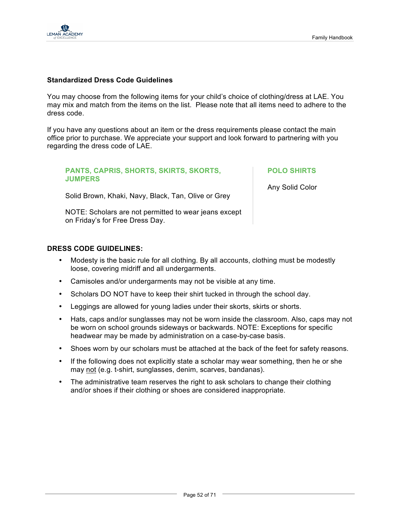

#### **Standardized Dress Code Guidelines**

You may choose from the following items for your child's choice of clothing/dress at LAE. You may mix and match from the items on the list. Please note that all items need to adhere to the dress code.

If you have any questions about an item or the dress requirements please contact the main office prior to purchase. We appreciate your support and look forward to partnering with you regarding the dress code of LAE.

#### **PANTS, CAPRIS, SHORTS, SKIRTS, SKORTS, JUMPERS**

Solid Brown, Khaki, Navy, Black, Tan, Olive or Grey

NOTE: Scholars are not permitted to wear jeans except on Friday's for Free Dress Day.

#### **DRESS CODE GUIDELINES:**

- Modesty is the basic rule for all clothing. By all accounts, clothing must be modestly loose, covering midriff and all undergarments.
- Camisoles and/or undergarments may not be visible at any time.
- Scholars DO NOT have to keep their shirt tucked in through the school day.
- Leggings are allowed for young ladies under their skorts, skirts or shorts.
- Hats, caps and/or sunglasses may not be worn inside the classroom. Also, caps may not be worn on school grounds sideways or backwards. NOTE: Exceptions for specific headwear may be made by administration on a case-by-case basis.
- Shoes worn by our scholars must be attached at the back of the feet for safety reasons.
- If the following does not explicitly state a scholar may wear something, then he or she may not (e.g. t-shirt, sunglasses, denim, scarves, bandanas).
- The administrative team reserves the right to ask scholars to change their clothing and/or shoes if their clothing or shoes are considered inappropriate.

#### **POLO SHIRTS**

Any Solid Color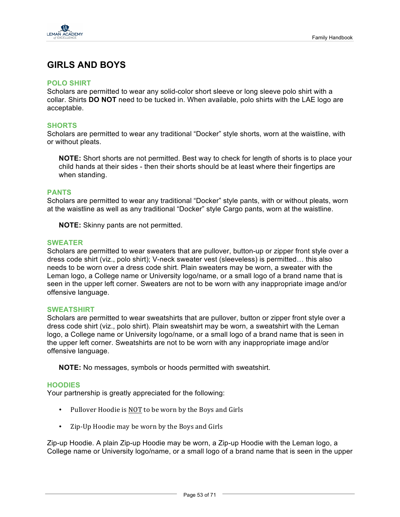

### **GIRLS AND BOYS**

#### **POLO SHIRT**

Scholars are permitted to wear any solid-color short sleeve or long sleeve polo shirt with a collar. Shirts **DO NOT** need to be tucked in. When available, polo shirts with the LAE logo are acceptable.

#### **SHORTS**

Scholars are permitted to wear any traditional "Docker" style shorts, worn at the waistline, with or without pleats.

**NOTE:** Short shorts are not permitted. Best way to check for length of shorts is to place your child hands at their sides - then their shorts should be at least where their fingertips are when standing.

#### **PANTS**

Scholars are permitted to wear any traditional "Docker" style pants, with or without pleats, worn at the waistline as well as any traditional "Docker" style Cargo pants, worn at the waistline.

**NOTE:** Skinny pants are not permitted.

#### **SWEATER**

Scholars are permitted to wear sweaters that are pullover, button-up or zipper front style over a dress code shirt (viz., polo shirt); V-neck sweater vest (sleeveless) is permitted… this also needs to be worn over a dress code shirt. Plain sweaters may be worn, a sweater with the Leman logo, a College name or University logo/name, or a small logo of a brand name that is seen in the upper left corner. Sweaters are not to be worn with any inappropriate image and/or offensive language.

#### **SWEATSHIRT**

Scholars are permitted to wear sweatshirts that are pullover, button or zipper front style over a dress code shirt (viz., polo shirt). Plain sweatshirt may be worn, a sweatshirt with the Leman logo, a College name or University logo/name, or a small logo of a brand name that is seen in the upper left corner. Sweatshirts are not to be worn with any inappropriate image and/or offensive language.

**NOTE:** No messages, symbols or hoods permitted with sweatshirt.

#### **HOODIES**

Your partnership is greatly appreciated for the following:

- Pullover Hoodie is NOT to be worn by the Boys and Girls
- Zip-Up Hoodie may be worn by the Boys and Girls

Zip-up Hoodie. A plain Zip-up Hoodie may be worn, a Zip-up Hoodie with the Leman logo, a College name or University logo/name, or a small logo of a brand name that is seen in the upper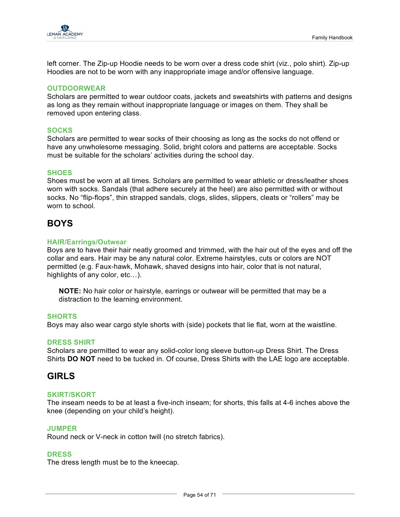

left corner. The Zip-up Hoodie needs to be worn over a dress code shirt (viz., polo shirt). Zip-up Hoodies are not to be worn with any inappropriate image and/or offensive language.

#### **OUTDOORWEAR**

Scholars are permitted to wear outdoor coats, jackets and sweatshirts with patterns and designs as long as they remain without inappropriate language or images on them. They shall be removed upon entering class.

#### **SOCKS**

Scholars are permitted to wear socks of their choosing as long as the socks do not offend or have any unwholesome messaging. Solid, bright colors and patterns are acceptable. Socks must be suitable for the scholars' activities during the school day.

#### **SHOES**

Shoes must be worn at all times. Scholars are permitted to wear athletic or dress/leather shoes worn with socks. Sandals (that adhere securely at the heel) are also permitted with or without socks. No "flip-flops", thin strapped sandals, clogs, slides, slippers, cleats or "rollers" may be worn to school.

### **BOYS**

#### **HAIR/Earrings/Outwear**

Boys are to have their hair neatly groomed and trimmed, with the hair out of the eyes and off the collar and ears. Hair may be any natural color. Extreme hairstyles, cuts or colors are NOT permitted (e.g. Faux-hawk, Mohawk, shaved designs into hair, color that is not natural, highlights of any color, etc...).

**NOTE:** No hair color or hairstyle, earrings or outwear will be permitted that may be a distraction to the learning environment.

#### **SHORTS**

Boys may also wear cargo style shorts with (side) pockets that lie flat, worn at the waistline.

#### **DRESS SHIRT**

Scholars are permitted to wear any solid-color long sleeve button-up Dress Shirt. The Dress Shirts **DO NOT** need to be tucked in. Of course, Dress Shirts with the LAE logo are acceptable.

### **GIRLS**

#### **SKIRT/SKORT**

The inseam needs to be at least a five-inch inseam; for shorts, this falls at 4-6 inches above the knee (depending on your child's height).

#### **JUMPER**

Round neck or V-neck in cotton twill (no stretch fabrics).

#### **DRESS**

The dress length must be to the kneecap.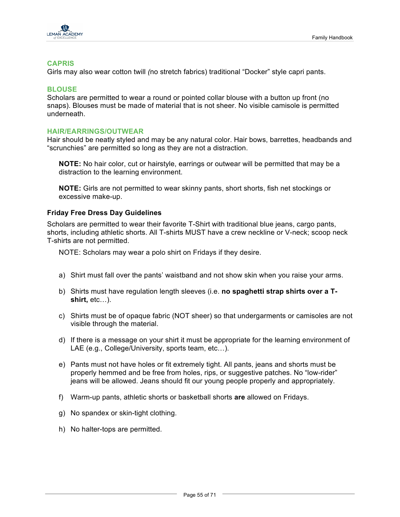

#### **CAPRIS**

Girls may also wear cotton twill *(*no stretch fabrics) traditional "Docker" style capri pants.

#### **BLOUSE**

Scholars are permitted to wear a round or pointed collar blouse with a button up front (no snaps). Blouses must be made of material that is not sheer. No visible camisole is permitted underneath.

#### **HAIR/EARRINGS/OUTWEAR**

Hair should be neatly styled and may be any natural color. Hair bows, barrettes, headbands and "scrunchies" are permitted so long as they are not a distraction.

**NOTE:** No hair color, cut or hairstyle, earrings or outwear will be permitted that may be a distraction to the learning environment.

**NOTE:** Girls are not permitted to wear skinny pants, short shorts, fish net stockings or excessive make-up.

#### **Friday Free Dress Day Guidelines**

Scholars are permitted to wear their favorite T-Shirt with traditional blue jeans, cargo pants, shorts, including athletic shorts. All T-shirts MUST have a crew neckline or V-neck; scoop neck T-shirts are not permitted.

NOTE: Scholars may wear a polo shirt on Fridays if they desire.

- a) Shirt must fall over the pants' waistband and not show skin when you raise your arms.
- b) Shirts must have regulation length sleeves (i.e. **no spaghetti strap shirts over a Tshirt,** etc…).
- c) Shirts must be of opaque fabric (NOT sheer) so that undergarments or camisoles are not visible through the material.
- d) If there is a message on your shirt it must be appropriate for the learning environment of LAE (e.g., College/University, sports team, etc...).
- e) Pants must not have holes or fit extremely tight. All pants, jeans and shorts must be properly hemmed and be free from holes, rips, or suggestive patches. No "low-rider" jeans will be allowed. Jeans should fit our young people properly and appropriately.
- f) Warm-up pants, athletic shorts or basketball shorts **are** allowed on Fridays.
- g) No spandex or skin-tight clothing.
- h) No halter-tops are permitted.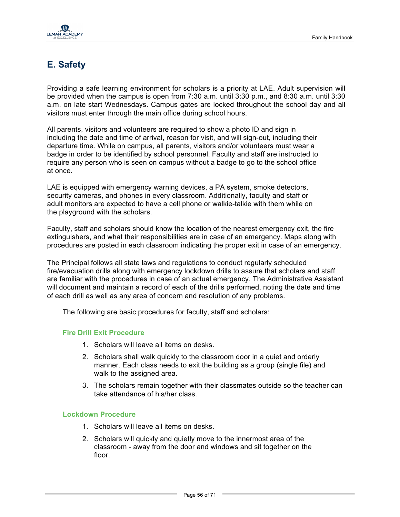# **E. Safety**

Providing a safe learning environment for scholars is a priority at LAE. Adult supervision will be provided when the campus is open from 7:30 a.m. until 3:30 p.m., and 8:30 a.m. until 3:30 a.m. on late start Wednesdays. Campus gates are locked throughout the school day and all visitors must enter through the main office during school hours.

All parents, visitors and volunteers are required to show a photo ID and sign in including the date and time of arrival, reason for visit, and will sign-out, including their departure time. While on campus, all parents, visitors and/or volunteers must wear a badge in order to be identified by school personnel. Faculty and staff are instructed to require any person who is seen on campus without a badge to go to the school office at once.

LAE is equipped with emergency warning devices, a PA system, smoke detectors, security cameras, and phones in every classroom. Additionally, faculty and staff or adult monitors are expected to have a cell phone or walkie-talkie with them while on the playground with the scholars.

Faculty, staff and scholars should know the location of the nearest emergency exit, the fire extinguishers, and what their responsibilities are in case of an emergency. Maps along with procedures are posted in each classroom indicating the proper exit in case of an emergency.

The Principal follows all state laws and regulations to conduct regularly scheduled fire/evacuation drills along with emergency lockdown drills to assure that scholars and staff are familiar with the procedures in case of an actual emergency. The Administrative Assistant will document and maintain a record of each of the drills performed, noting the date and time of each drill as well as any area of concern and resolution of any problems.

The following are basic procedures for faculty, staff and scholars:

#### **Fire Drill Exit Procedure**

- 1. Scholars will leave all items on desks.
- 2. Scholars shall walk quickly to the classroom door in a quiet and orderly manner. Each class needs to exit the building as a group (single file) and walk to the assigned area.
- 3. The scholars remain together with their classmates outside so the teacher can take attendance of his/her class.

#### **Lockdown Procedure**

- 1. Scholars will leave all items on desks.
- 2. Scholars will quickly and quietly move to the innermost area of the classroom - away from the door and windows and sit together on the floor.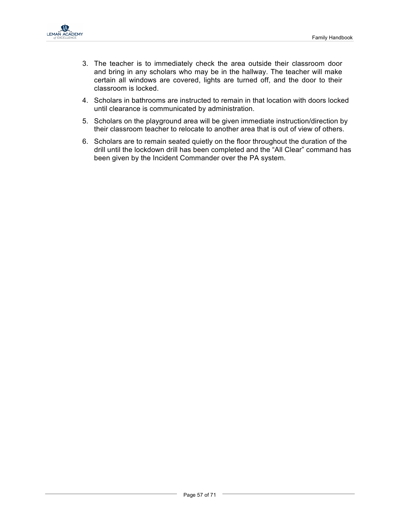

- 3. The teacher is to immediately check the area outside their classroom door and bring in any scholars who may be in the hallway. The teacher will make certain all windows are covered, lights are turned off, and the door to their classroom is locked.
- 4. Scholars in bathrooms are instructed to remain in that location with doors locked until clearance is communicated by administration.
- 5. Scholars on the playground area will be given immediate instruction/direction by their classroom teacher to relocate to another area that is out of view of others.
- 6. Scholars are to remain seated quietly on the floor throughout the duration of the drill until the lockdown drill has been completed and the "All Clear" command has been given by the Incident Commander over the PA system.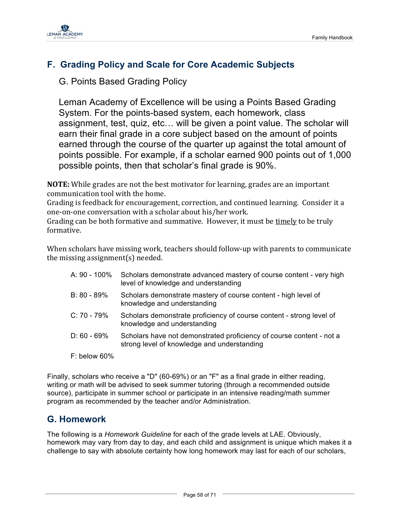

# **F. Grading Policy and Scale for Core Academic Subjects**

G. Points Based Grading Policy

Leman Academy of Excellence will be using a Points Based Grading System. For the points-based system, each homework, class assignment, test, quiz, etc… will be given a point value. The scholar will earn their final grade in a core subject based on the amount of points earned through the course of the quarter up against the total amount of points possible. For example, if a scholar earned 900 points out of 1,000 possible points, then that scholar's final grade is 90%.

**NOTE:** While grades are not the best motivator for learning, grades are an important communication tool with the home.

Grading is feedback for encouragement, correction, and continued learning. Consider it a one-on-one conversation with a scholar about his/her work.

Grading can be both formative and summative. However, it must be timely to be truly formative.

When scholars have missing work, teachers should follow-up with parents to communicate the missing assignment(s) needed.

| A: 90 - 100%   | Scholars demonstrate advanced mastery of course content - very high<br>level of knowledge and understanding         |
|----------------|---------------------------------------------------------------------------------------------------------------------|
| $B: 80 - 89\%$ | Scholars demonstrate mastery of course content - high level of<br>knowledge and understanding                       |
| $C: 70 - 79\%$ | Scholars demonstrate proficiency of course content - strong level of<br>knowledge and understanding                 |
| $D: 60 - 69\%$ | Scholars have not demonstrated proficiency of course content - not a<br>strong level of knowledge and understanding |
| $F:$ below 60% |                                                                                                                     |

Finally, scholars who receive a "D" (60-69%) or an "F" as a final grade in either reading, writing or math will be advised to seek summer tutoring (through a recommended outside source), participate in summer school or participate in an intensive reading/math summer program as recommended by the teacher and/or Administration.

# **G. Homework**

The following is a *Homework Guideline* for each of the grade levels at LAE. Obviously, homework may vary from day to day, and each child and assignment is unique which makes it a challenge to say with absolute certainty how long homework may last for each of our scholars,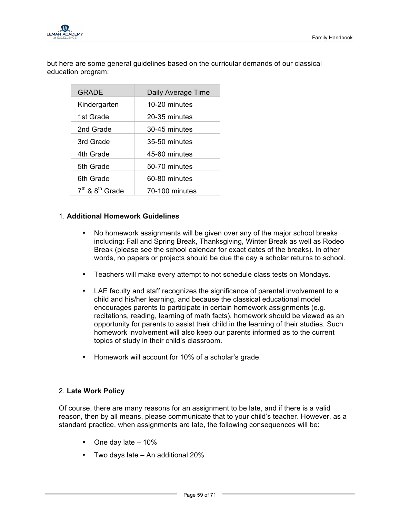

but here are some general guidelines based on the curricular demands of our classical education program:

| GRADE               | Daily Average Time |
|---------------------|--------------------|
| Kindergarten        | 10-20 minutes      |
| 1st Grade           | 20-35 minutes      |
| 2nd Grade           | 30-45 minutes      |
| 3rd Grade           | 35-50 minutes      |
| 4th Grade           | 45-60 minutes      |
| 5th Grade           | 50-70 minutes      |
| 6th Grade           | 60-80 minutes      |
| $7th$ & $8th$ Grade | 70-100 minutes     |

#### 1. **Additional Homework Guidelines**

- No homework assignments will be given over any of the major school breaks including: Fall and Spring Break, Thanksgiving, Winter Break as well as Rodeo Break (please see the school calendar for exact dates of the breaks). In other words, no papers or projects should be due the day a scholar returns to school.
- Teachers will make every attempt to not schedule class tests on Mondays.
- LAE faculty and staff recognizes the significance of parental involvement to a child and his/her learning, and because the classical educational model encourages parents to participate in certain homework assignments (e.g. recitations, reading, learning of math facts), homework should be viewed as an opportunity for parents to assist their child in the learning of their studies. Such homework involvement will also keep our parents informed as to the current topics of study in their child's classroom.
- Homework will account for 10% of a scholar's grade.

#### 2. **Late Work Policy**

Of course, there are many reasons for an assignment to be late, and if there is a valid reason, then by all means, please communicate that to your child's teacher. However, as a standard practice, when assignments are late, the following consequences will be:

- One day late  $-10\%$
- Two days late An additional 20%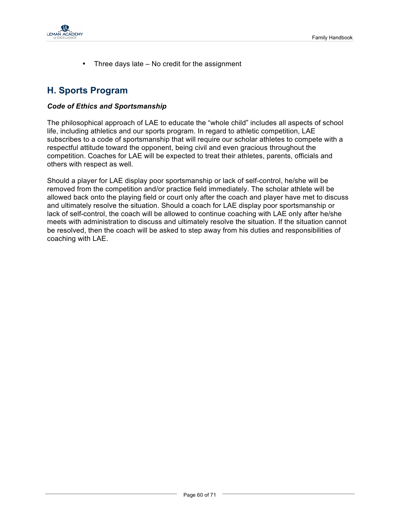

• Three days late – No credit for the assignment

# **H. Sports Program**

#### *Code of Ethics and Sportsmanship*

The philosophical approach of LAE to educate the "whole child" includes all aspects of school life, including athletics and our sports program. In regard to athletic competition, LAE subscribes to a code of sportsmanship that will require our scholar athletes to compete with a respectful attitude toward the opponent, being civil and even gracious throughout the competition. Coaches for LAE will be expected to treat their athletes, parents, officials and others with respect as well.

Should a player for LAE display poor sportsmanship or lack of self-control, he/she will be removed from the competition and/or practice field immediately. The scholar athlete will be allowed back onto the playing field or court only after the coach and player have met to discuss and ultimately resolve the situation. Should a coach for LAE display poor sportsmanship or lack of self-control, the coach will be allowed to continue coaching with LAE only after he/she meets with administration to discuss and ultimately resolve the situation. If the situation cannot be resolved, then the coach will be asked to step away from his duties and responsibilities of coaching with LAE.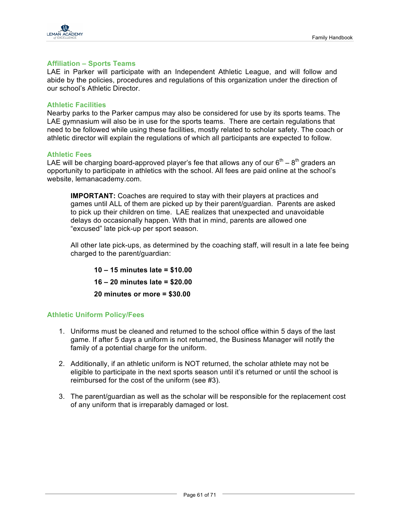

#### **Affiliation – Sports Teams**

LAE in Parker will participate with an Independent Athletic League, and will follow and abide by the policies, procedures and regulations of this organization under the direction of our school's Athletic Director.

#### **Athletic Facilities**

Nearby parks to the Parker campus may also be considered for use by its sports teams. The LAE gymnasium will also be in use for the sports teams. There are certain regulations that need to be followed while using these facilities, mostly related to scholar safety. The coach or athletic director will explain the regulations of which all participants are expected to follow.

#### **Athletic Fees**

LAE will be charging board-approved player's fee that allows any of our  $6<sup>th</sup> - 8<sup>th</sup>$  graders an opportunity to participate in athletics with the school. All fees are paid online at the school's website, lemanacademy.com.

**IMPORTANT:** Coaches are required to stay with their players at practices and games until ALL of them are picked up by their parent/guardian. Parents are asked to pick up their children on time. LAE realizes that unexpected and unavoidable delays do occasionally happen. With that in mind, parents are allowed one "excused" late pick-up per sport season.

All other late pick-ups, as determined by the coaching staff, will result in a late fee being charged to the parent/guardian:

**10 – 15 minutes late = \$10.00 16 – 20 minutes late = \$20.00 20 minutes or more = \$30.00**

#### **Athletic Uniform Policy/Fees**

- 1. Uniforms must be cleaned and returned to the school office within 5 days of the last game. If after 5 days a uniform is not returned, the Business Manager will notify the family of a potential charge for the uniform.
- 2. Additionally, if an athletic uniform is NOT returned, the scholar athlete may not be eligible to participate in the next sports season until it's returned or until the school is reimbursed for the cost of the uniform (see #3).
- 3. The parent/guardian as well as the scholar will be responsible for the replacement cost of any uniform that is irreparably damaged or lost.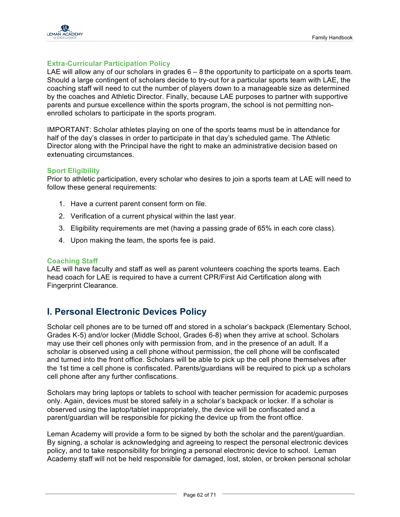

#### **Extra-Curricular Participation Policy**

LAE will allow any of our scholars in grades 6 – 8 the opportunity to participate on a sports team. Should a large contingent of scholars decide to try-out for a particular sports team with LAE, the coaching staff will need to cut the number of players down to a manageable size as determined by the coaches and Athletic Director. Finally, because LAE purposes to partner with supportive parents and pursue excellence within the sports program, the school is not permitting nonenrolled scholars to participate in the sports program.

IMPORTANT: Scholar athletes playing on one of the sports teams must be in attendance for half of the day's classes in order to participate in that day's scheduled game. The Athletic Director along with the Principal have the right to make an administrative decision based on extenuating circumstances.

#### **Sport Eligibility**

Prior to athletic participation, every scholar who desires to join a sports team at LAE will need to follow these general requirements:

- 1. Have a current parent consent form on file.
- 2. Verification of a current physical within the last year.
- 3. Eligibility requirements are met (having a passing grade of 65% in each core class).
- 4. Upon making the team, the sports fee is paid.

#### **Coaching Staff**

LAE will have faculty and staff as well as parent volunteers coaching the sports teams. Each head coach for LAE is required to have a current CPR/First Aid Certification along with Fingerprint Clearance.

### **I. Personal Electronic Devices Policy**

Scholar cell phones are to be turned off and stored in a scholar's backpack (Elementary School, Grades K-5) and/or locker (Middle School, Grades 6-8) when they arrive at school. Scholars may use their cell phones only with permission from, and in the presence of an adult. If a scholar is observed using a cell phone without permission, the cell phone will be confiscated and turned into the front office. Scholars will be able to pick up the cell phone themselves after the 1st time a cell phone is confiscated. Parents/guardians will be required to pick up a scholars cell phone after any further confiscations.

Scholars may bring laptops or tablets to school with teacher permission for academic purposes only. Again, devices must be stored safely in a scholar's backpack or locker. If a scholar is observed using the laptop/tablet inappropriately, the device will be confiscated and a parent/guardian will be responsible for picking the device up from the front office.

Leman Academy will provide a form to be signed by both the scholar and the parent/guardian. By signing, a scholar is acknowledging and agreeing to respect the personal electronic devices policy, and to take responsibility for bringing a personal electronic device to school. Leman Academy staff will not be held responsible for damaged, lost, stolen, or broken personal scholar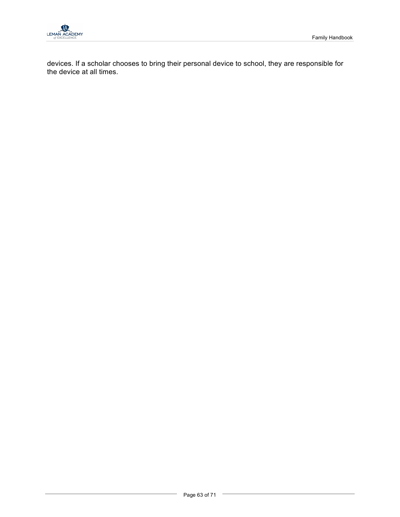

devices. If a scholar chooses to bring their personal device to school, they are responsible for the device at all times.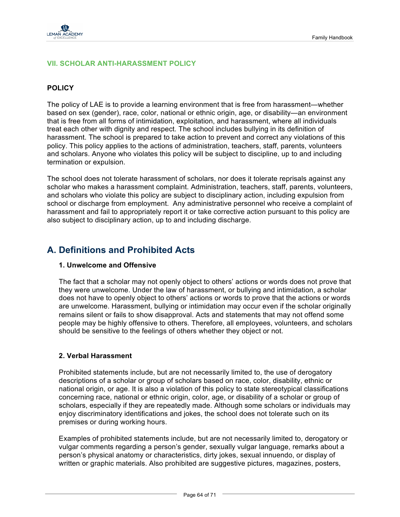

#### **VII. SCHOLAR ANTI-HARASSMENT POLICY**

#### **POLICY**

The policy of LAE is to provide a learning environment that is free from harassment—whether based on sex (gender), race, color, national or ethnic origin, age, or disability—an environment that is free from all forms of intimidation, exploitation, and harassment, where all individuals treat each other with dignity and respect. The school includes bullying in its definition of harassment. The school is prepared to take action to prevent and correct any violations of this policy. This policy applies to the actions of administration, teachers, staff, parents, volunteers and scholars. Anyone who violates this policy will be subject to discipline, up to and including termination or expulsion.

The school does not tolerate harassment of scholars, nor does it tolerate reprisals against any scholar who makes a harassment complaint. Administration, teachers, staff, parents, volunteers, and scholars who violate this policy are subject to disciplinary action, including expulsion from school or discharge from employment. Any administrative personnel who receive a complaint of harassment and fail to appropriately report it or take corrective action pursuant to this policy are also subject to disciplinary action, up to and including discharge.

### **A. Definitions and Prohibited Acts**

#### **1. Unwelcome and Offensive**

The fact that a scholar may not openly object to others' actions or words does not prove that they were unwelcome. Under the law of harassment, or bullying and intimidation, a scholar does not have to openly object to others' actions or words to prove that the actions or words are unwelcome. Harassment, bullying or intimidation may occur even if the scholar originally remains silent or fails to show disapproval. Acts and statements that may not offend some people may be highly offensive to others. Therefore, all employees, volunteers, and scholars should be sensitive to the feelings of others whether they object or not.

#### **2. Verbal Harassment**

Prohibited statements include, but are not necessarily limited to, the use of derogatory descriptions of a scholar or group of scholars based on race, color, disability, ethnic or national origin, or age. It is also a violation of this policy to state stereotypical classifications concerning race, national or ethnic origin, color, age, or disability of a scholar or group of scholars, especially if they are repeatedly made. Although some scholars or individuals may enjoy discriminatory identifications and jokes, the school does not tolerate such on its premises or during working hours.

Examples of prohibited statements include, but are not necessarily limited to, derogatory or vulgar comments regarding a person's gender, sexually vulgar language, remarks about a person's physical anatomy or characteristics, dirty jokes, sexual innuendo, or display of written or graphic materials. Also prohibited are suggestive pictures, magazines, posters,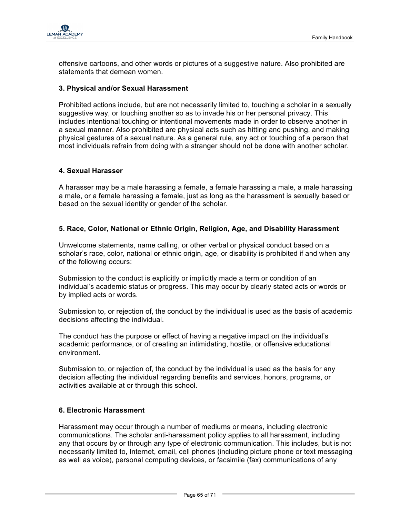

offensive cartoons, and other words or pictures of a suggestive nature. Also prohibited are statements that demean women.

#### **3. Physical and/or Sexual Harassment**

Prohibited actions include, but are not necessarily limited to, touching a scholar in a sexually suggestive way, or touching another so as to invade his or her personal privacy. This includes intentional touching or intentional movements made in order to observe another in a sexual manner. Also prohibited are physical acts such as hitting and pushing, and making physical gestures of a sexual nature. As a general rule, any act or touching of a person that most individuals refrain from doing with a stranger should not be done with another scholar.

#### **4. Sexual Harasser**

A harasser may be a male harassing a female, a female harassing a male, a male harassing a male, or a female harassing a female, just as long as the harassment is sexually based or based on the sexual identity or gender of the scholar.

#### **5. Race, Color, National or Ethnic Origin, Religion, Age, and Disability Harassment**

Unwelcome statements, name calling, or other verbal or physical conduct based on a scholar's race, color, national or ethnic origin, age, or disability is prohibited if and when any of the following occurs:

Submission to the conduct is explicitly or implicitly made a term or condition of an individual's academic status or progress. This may occur by clearly stated acts or words or by implied acts or words.

Submission to, or rejection of, the conduct by the individual is used as the basis of academic decisions affecting the individual.

The conduct has the purpose or effect of having a negative impact on the individual's academic performance, or of creating an intimidating, hostile, or offensive educational environment.

Submission to, or rejection of, the conduct by the individual is used as the basis for any decision affecting the individual regarding benefits and services, honors, programs, or activities available at or through this school.

#### **6. Electronic Harassment**

Harassment may occur through a number of mediums or means, including electronic communications. The scholar anti-harassment policy applies to all harassment, including any that occurs by or through any type of electronic communication. This includes, but is not necessarily limited to, Internet, email, cell phones (including picture phone or text messaging as well as voice), personal computing devices, or facsimile (fax) communications of any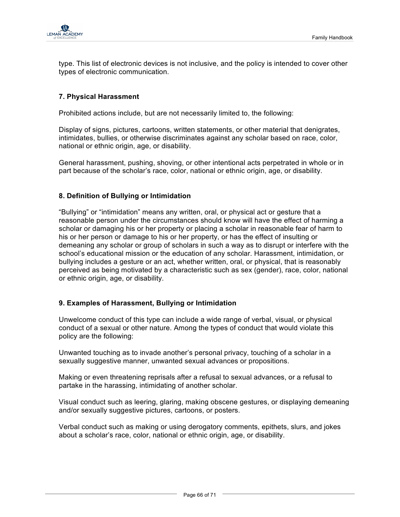

type. This list of electronic devices is not inclusive, and the policy is intended to cover other types of electronic communication.

#### **7. Physical Harassment**

Prohibited actions include, but are not necessarily limited to, the following:

Display of signs, pictures, cartoons, written statements, or other material that denigrates, intimidates, bullies, or otherwise discriminates against any scholar based on race, color, national or ethnic origin, age, or disability.

General harassment, pushing, shoving, or other intentional acts perpetrated in whole or in part because of the scholar's race, color, national or ethnic origin, age, or disability.

#### **8. Definition of Bullying or Intimidation**

"Bullying" or "intimidation" means any written, oral, or physical act or gesture that a reasonable person under the circumstances should know will have the effect of harming a scholar or damaging his or her property or placing a scholar in reasonable fear of harm to his or her person or damage to his or her property, or has the effect of insulting or demeaning any scholar or group of scholars in such a way as to disrupt or interfere with the school's educational mission or the education of any scholar. Harassment, intimidation, or bullying includes a gesture or an act, whether written, oral, or physical, that is reasonably perceived as being motivated by a characteristic such as sex (gender), race, color, national or ethnic origin, age, or disability.

#### **9. Examples of Harassment, Bullying or Intimidation**

Unwelcome conduct of this type can include a wide range of verbal, visual, or physical conduct of a sexual or other nature. Among the types of conduct that would violate this policy are the following:

Unwanted touching as to invade another's personal privacy, touching of a scholar in a sexually suggestive manner, unwanted sexual advances or propositions.

Making or even threatening reprisals after a refusal to sexual advances, or a refusal to partake in the harassing, intimidating of another scholar.

Visual conduct such as leering, glaring, making obscene gestures, or displaying demeaning and/or sexually suggestive pictures, cartoons, or posters.

Verbal conduct such as making or using derogatory comments, epithets, slurs, and jokes about a scholar's race, color, national or ethnic origin, age, or disability.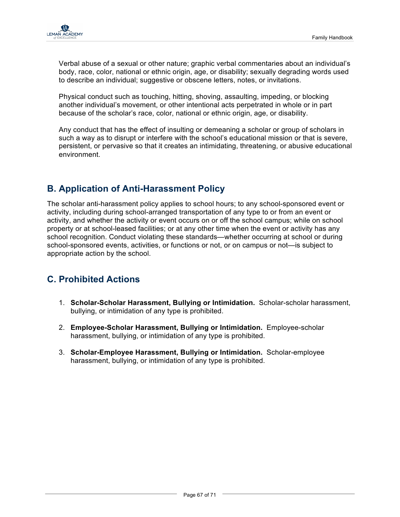

Verbal abuse of a sexual or other nature; graphic verbal commentaries about an individual's body, race, color, national or ethnic origin, age, or disability; sexually degrading words used to describe an individual; suggestive or obscene letters, notes, or invitations.

Physical conduct such as touching, hitting, shoving, assaulting, impeding, or blocking another individual's movement, or other intentional acts perpetrated in whole or in part because of the scholar's race, color, national or ethnic origin, age, or disability.

Any conduct that has the effect of insulting or demeaning a scholar or group of scholars in such a way as to disrupt or interfere with the school's educational mission or that is severe, persistent, or pervasive so that it creates an intimidating, threatening, or abusive educational environment.

# **B. Application of Anti-Harassment Policy**

The scholar anti-harassment policy applies to school hours; to any school-sponsored event or activity, including during school-arranged transportation of any type to or from an event or activity, and whether the activity or event occurs on or off the school campus; while on school property or at school-leased facilities; or at any other time when the event or activity has any school recognition. Conduct violating these standards—whether occurring at school or during school-sponsored events, activities, or functions or not, or on campus or not—is subject to appropriate action by the school.

# **C. Prohibited Actions**

- 1. **Scholar-Scholar Harassment, Bullying or Intimidation.** Scholar-scholar harassment, bullying, or intimidation of any type is prohibited.
- 2. **Employee-Scholar Harassment, Bullying or Intimidation.** Employee-scholar harassment, bullying, or intimidation of any type is prohibited.
- 3. **Scholar-Employee Harassment, Bullying or Intimidation.** Scholar-employee harassment, bullying, or intimidation of any type is prohibited.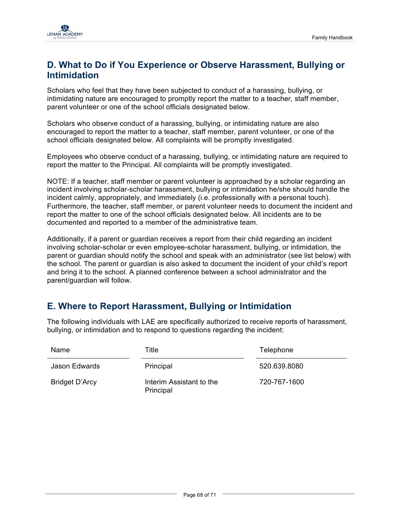

### **D. What to Do if You Experience or Observe Harassment, Bullying or Intimidation**

Scholars who feel that they have been subjected to conduct of a harassing, bullying, or intimidating nature are encouraged to promptly report the matter to a teacher, staff member, parent volunteer or one of the school officials designated below.

Scholars who observe conduct of a harassing, bullying, or intimidating nature are also encouraged to report the matter to a teacher, staff member, parent volunteer, or one of the school officials designated below. All complaints will be promptly investigated.

Employees who observe conduct of a harassing, bullying, or intimidating nature are required to report the matter to the Principal. All complaints will be promptly investigated.

NOTE: If a teacher, staff member or parent volunteer is approached by a scholar regarding an incident involving scholar-scholar harassment, bullying or intimidation he/she should handle the incident calmly, appropriately, and immediately (i.e. professionally with a personal touch). Furthermore, the teacher, staff member, or parent volunteer needs to document the incident and report the matter to one of the school officials designated below. All incidents are to be documented and reported to a member of the administrative team.

Additionally, if a parent or guardian receives a report from their child regarding an incident involving scholar-scholar or even employee-scholar harassment, bullying, or intimidation, the parent or guardian should notify the school and speak with an administrator (see list below) with the school. The parent or guardian is also asked to document the incident of your child's report and bring it to the school. A planned conference between a school administrator and the parent/guardian will follow.

# **E. Where to Report Harassment, Bullying or Intimidation**

The following individuals with LAE are specifically authorized to receive reports of harassment, bullying, or intimidation and to respond to questions regarding the incident:

| Name                  | Title                                 | Telephone    |
|-----------------------|---------------------------------------|--------------|
| Jason Edwards         | Principal                             | 520.639.8080 |
| <b>Bridget D'Arcy</b> | Interim Assistant to the<br>Principal | 720-767-1600 |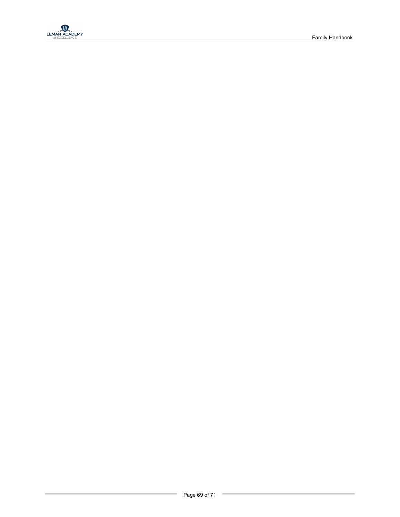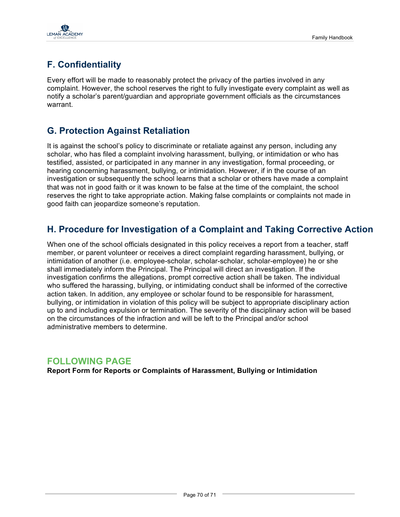

# **F. Confidentiality**

Every effort will be made to reasonably protect the privacy of the parties involved in any complaint. However, the school reserves the right to fully investigate every complaint as well as notify a scholar's parent/guardian and appropriate government officials as the circumstances warrant.

# **G. Protection Against Retaliation**

It is against the school's policy to discriminate or retaliate against any person, including any scholar, who has filed a complaint involving harassment, bullying, or intimidation or who has testified, assisted, or participated in any manner in any investigation, formal proceeding, or hearing concerning harassment, bullying, or intimidation. However, if in the course of an investigation or subsequently the school learns that a scholar or others have made a complaint that was not in good faith or it was known to be false at the time of the complaint, the school reserves the right to take appropriate action. Making false complaints or complaints not made in good faith can jeopardize someone's reputation.

### **H. Procedure for Investigation of a Complaint and Taking Corrective Action**

When one of the school officials designated in this policy receives a report from a teacher, staff member, or parent volunteer or receives a direct complaint regarding harassment, bullying, or intimidation of another (i.e. employee-scholar, scholar-scholar, scholar-employee) he or she shall immediately inform the Principal. The Principal will direct an investigation. If the investigation confirms the allegations, prompt corrective action shall be taken. The individual who suffered the harassing, bullying, or intimidating conduct shall be informed of the corrective action taken. In addition, any employee or scholar found to be responsible for harassment, bullying, or intimidation in violation of this policy will be subject to appropriate disciplinary action up to and including expulsion or termination. The severity of the disciplinary action will be based on the circumstances of the infraction and will be left to the Principal and/or school administrative members to determine.

### **FOLLOWING PAGE**

**Report Form for Reports or Complaints of Harassment, Bullying or Intimidation**